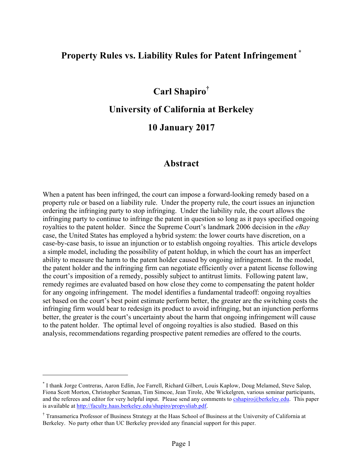# **Property Rules vs. Liability Rules for Patent Infringement \***

# **Carl Shapiro†**

### **University of California at Berkeley**

# **10 January 2017**

### **Abstract**

When a patent has been infringed, the court can impose a forward-looking remedy based on a property rule or based on a liability rule. Under the property rule, the court issues an injunction ordering the infringing party to stop infringing. Under the liability rule, the court allows the infringing party to continue to infringe the patent in question so long as it pays specified ongoing royalties to the patent holder. Since the Supreme Court's landmark 2006 decision in the *eBay* case, the United States has employed a hybrid system: the lower courts have discretion, on a case-by-case basis, to issue an injunction or to establish ongoing royalties. This article develops a simple model, including the possibility of patent holdup, in which the court has an imperfect ability to measure the harm to the patent holder caused by ongoing infringement. In the model, the patent holder and the infringing firm can negotiate efficiently over a patent license following the court's imposition of a remedy, possibly subject to antitrust limits. Following patent law, remedy regimes are evaluated based on how close they come to compensating the patent holder for any ongoing infringement. The model identifies a fundamental tradeoff: ongoing royalties set based on the court's best point estimate perform better, the greater are the switching costs the infringing firm would bear to redesign its product to avoid infringing, but an injunction performs better, the greater is the court's uncertainty about the harm that ongoing infringement will cause to the patent holder. The optimal level of ongoing royalties is also studied. Based on this analysis, recommendations regarding prospective patent remedies are offered to the courts.

<sup>\*</sup> I thank Jorge Contreras, Aaron Edlin, Joe Farrell, Richard Gilbert, Louis Kaplow, Doug Melamed, Steve Salop, Fiona Scott Morton, Christopher Seaman, Tim Simcoe, Jean Tirole, Abe Wickelgren, various seminar participants, and the referees and editor for very helpful input. Please send any comments to cshapiro@berkeley.edu. This paper is available at http://faculty.haas.berkeley.edu/shapiro/propvsliab.pdf.

<sup>†</sup> Transamerica Professor of Business Strategy at the Haas School of Business at the University of California at Berkeley. No party other than UC Berkeley provided any financial support for this paper.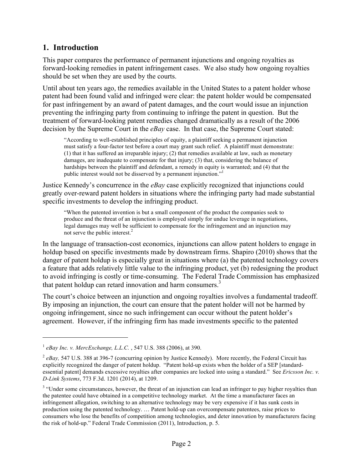### **1. Introduction**

This paper compares the performance of permanent injunctions and ongoing royalties as forward-looking remedies in patent infringement cases. We also study how ongoing royalties should be set when they are used by the courts.

Until about ten years ago, the remedies available in the United States to a patent holder whose patent had been found valid and infringed were clear: the patent holder would be compensated for past infringement by an award of patent damages, and the court would issue an injunction preventing the infringing party from continuing to infringe the patent in question. But the treatment of forward-looking patent remedies changed dramatically as a result of the 2006 decision by the Supreme Court in the *eBay* case. In that case, the Supreme Court stated:

"According to well-established principles of equity, a plaintiff seeking a permanent injunction must satisfy a four-factor test before a court may grant such relief. A plaintiff must demonstrate: (1) that it has suffered an irreparable injury; (2) that remedies available at law, such as monetary damages, are inadequate to compensate for that injury; (3) that, considering the balance of hardships between the plaintiff and defendant, a remedy in equity is warranted; and (4) that the public interest would not be disserved by a permanent injunction."<sup>1</sup>

Justice Kennedy's concurrence in the *eBay* case explicitly recognized that injunctions could greatly over-reward patent holders in situations where the infringing party had made substantial specific investments to develop the infringing product.

"When the patented invention is but a small component of the product the companies seek to produce and the threat of an injunction is employed simply for undue leverage in negotiations, legal damages may well be sufficient to compensate for the infringement and an injunction may not serve the public interest. 2

In the language of transaction-cost economics, injunctions can allow patent holders to engage in holdup based on specific investments made by downstream firms. Shapiro (2010) shows that the danger of patent holdup is especially great in situations where (a) the patented technology covers a feature that adds relatively little value to the infringing product, yet (b) redesigning the product to avoid infringing is costly or time-consuming. The Federal Trade Commission has emphasized that patent holdup can retard innovation and harm consumers. $3<sup>3</sup>$ 

The court's choice between an injunction and ongoing royalties involves a fundamental tradeoff. By imposing an injunction, the court can ensure that the patent holder will not be harmed by ongoing infringement, since no such infringement can occur without the patent holder's agreement. However, if the infringing firm has made investments specific to the patented

<sup>1</sup> *eBay Inc. v. MercExchange, L.L.C.* , 547 U.S. 388 (2006), at 390.

 $^{2}$  *eBay,* 547 U.S. 388 at 396-7 (concurring opinion by Justice Kennedy). More recently, the Federal Circuit has explicitly recognized the danger of patent holdup. "Patent hold-up exists when the holder of a SEP [standardessential patent] demands excessive royalties after companies are locked into using a standard." See *Ericsson Inc. v. D-Link Systems*, 773 F.3d. 1201 (2014), at 1209.

<sup>&</sup>lt;sup>3</sup> "Under some circumstances, however, the threat of an injunction can lead an infringer to pay higher royalties than the patentee could have obtained in a competitive technology market. At the time a manufacturer faces an infringement allegation, switching to an alternative technology may be very expensive if it has sunk costs in production using the patented technology. … Patent hold-up can overcompensate patentees, raise prices to consumers who lose the benefits of competition among technologies, and deter innovation by manufacturers facing the risk of hold-up." Federal Trade Commission (2011), Introduction, p. 5.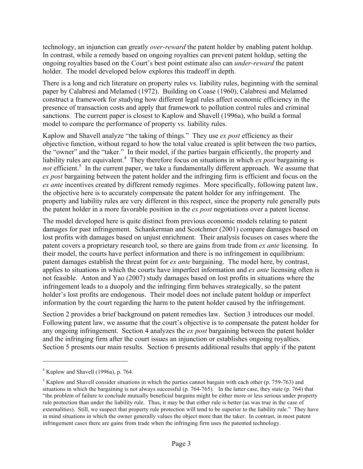technology, an injunction can greatly *over-reward* the patent holder by enabling patent holdup. In contrast, while a remedy based on ongoing royalties can prevent patent holdup, setting the ongoing royalties based on the Court's best point estimate also can *under-reward* the patent holder. The model developed below explores this tradeoff in depth.

There is a long and rich literature on property rules vs. liability rules, beginning with the seminal paper by Calabresi and Melamed (1972). Building on Coase (1960), Calabresi and Melamed construct a framework for studying how different legal rules affect economic efficiency in the presence of transaction costs and apply that framework to pollution control rules and criminal sanctions. The current paper is closest to Kaplow and Shavell (1996a), who build a formal model to compare the performance of property vs. liability rules.

Kaplow and Shavell analyze "the taking of things." They use *ex post* efficiency as their objective function, without regard to how the total value created is split between the two parties, the "owner" and the "taker." In their model, if the parties bargain efficiently, the property and liability rules are equivalent.<sup>4</sup> They therefore focus on situations in which *ex post* bargaining is not efficient.<sup>5</sup> In the current paper, we take a fundamentally different approach. We assume that *ex post* bargaining between the patent holder and the infringing firm is efficient and focus on the *ex ante* incentives created by different remedy regimes. More specifically, following patent law, the objective here is to accurately compensate the patent holder for any infringement. The property and liability rules are very different in this respect, since the property rule generally puts the patent holder in a more favorable position in the *ex post* negotiations over a patent license.

The model developed here is quite distinct from previous economic models relating to patent damages for past infringement. Schankerman and Scotchmer (2001) compare damages based on lost profits with damages based on unjust enrichment. Their analysis focuses on cases where the patent covers a proprietary research tool, so there are gains from trade from *ex ante* licensing. In their model, the courts have perfect information and there is no infringement in equilibrium: patent damages establish the threat point for *ex ante* bargaining. The model here, by contrast, applies to situations in which the courts have imperfect information and *ex ante* licensing often is not feasible. Anton and Yao (2007) study damages based on lost profits in situations where the infringement leads to a duopoly and the infringing firm behaves strategically, so the patent holder's lost profits are endogenous. Their model does not include patent holdup or imperfect information by the court regarding the harm to the patent holder caused by the infringement.

Section 2 provides a brief background on patent remedies law. Section 3 introduces our model. Following patent law, we assume that the court's objective is to compensate the patent holder for any ongoing infringement. Section 4 analyzes the *ex post* bargaining between the patent holder and the infringing firm after the court issues an injunction or establishes ongoing royalties. Section 5 presents our main results. Section 6 presents additional results that apply if the patent

 $4$  Kaplow and Shavell (1996a), p. 764.

<sup>&</sup>lt;sup>5</sup> Kaplow and Shavell consider situations in which the parties cannot bargain with each other (p. 759-763) and situations in which the bargaining is not always successful (p. 764-765). In the latter case, they state (p. 764) that "the problem of failure to conclude mutually beneficial bargains might be either more or less serious under property rule protection than under the liability rule. Thus, it may be that either rule is better (as was true in the case of externalities). Still, we suspect that property rule protection will tend to be superior to the liability rule." They have in mind situations in which the owner generally values the object more than the taker. In contrast, in most patent infringement cases there are gains from trade when the infringing firm uses the patented technology.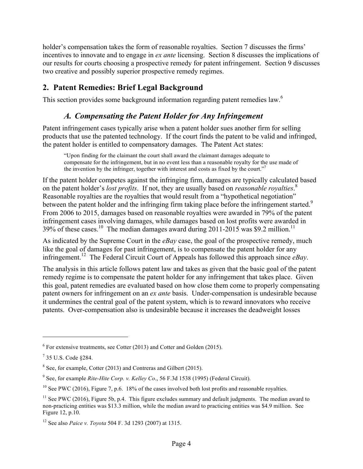holder's compensation takes the form of reasonable royalties. Section 7 discusses the firms' incentives to innovate and to engage in *ex ante* licensing. Section 8 discusses the implications of our results for courts choosing a prospective remedy for patent infringement. Section 9 discusses two creative and possibly superior prospective remedy regimes.

# **2. Patent Remedies: Brief Legal Background**

This section provides some background information regarding patent remedies law.<sup>6</sup>

# *A. Compensating the Patent Holder for Any Infringement*

Patent infringement cases typically arise when a patent holder sues another firm for selling products that use the patented technology. If the court finds the patent to be valid and infringed, the patent holder is entitled to compensatory damages. The Patent Act states:

"Upon finding for the claimant the court shall award the claimant damages adequate to compensate for the infringement, but in no event less than a reasonable royalty for the use made of the invention by the infringer, together with interest and costs as fixed by the court."<sup>7</sup>

If the patent holder competes against the infringing firm, damages are typically calculated based on the patent holder's *lost profits*. If not, they are usually based on *reasonable royalties*. 8 Reasonable royalties are the royalties that would result from a "hypothetical negotiation" between the patent holder and the infringing firm taking place before the infringement started.<sup>9</sup> From 2006 to 2015, damages based on reasonable royalties were awarded in 79% of the patent infringement cases involving damages, while damages based on lost profits were awarded in 39% of these cases.<sup>10</sup> The median damages award during 2011-2015 was \$9.2 million.<sup>11</sup>

As indicated by the Supreme Court in the *eBay* case, the goal of the prospective remedy, much like the goal of damages for past infringement, is to compensate the patent holder for any infringement.12 The Federal Circuit Court of Appeals has followed this approach since *eBay*.

The analysis in this article follows patent law and takes as given that the basic goal of the patent remedy regime is to compensate the patent holder for any infringement that takes place. Given this goal, patent remedies are evaluated based on how close them come to properly compensating patent owners for infringement on an *ex ante* basis. Under-compensation is undesirable because it undermines the central goal of the patent system, which is to reward innovators who receive patents. Over-compensation also is undesirable because it increases the deadweight losses

 $6$  For extensive treatments, see Cotter (2013) and Cotter and Golden (2015).

<sup>7</sup> 35 U.S. Code §284.

<sup>8</sup> See, for example, Cotter (2013) and Contreras and Gilbert (2015).

<sup>9</sup> See, for example *Rite-Hite Corp. v. Kelley Co*., 56 F.3d 1538 (1995) (Federal Circuit).

<sup>&</sup>lt;sup>10</sup> See PWC (2016), Figure 7, p.6. 18% of the cases involved both lost profits and reasonable royalties.

 $11$  See PWC (2016), Figure 5b, p.4. This figure excludes summary and default judgments. The median award to non-practicing entities was \$13.3 million, while the median award to practicing entities was \$4.9 million. See Figure 12, p.10.

<sup>12</sup> See also *Paice v. Toyota* 504 F. 3d 1293 (2007) at 1315.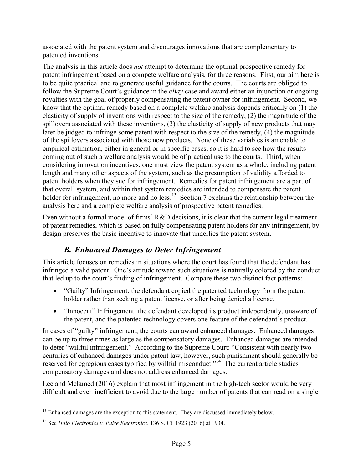associated with the patent system and discourages innovations that are complementary to patented inventions.

The analysis in this article does *not* attempt to determine the optimal prospective remedy for patent infringement based on a compete welfare analysis, for three reasons. First, our aim here is to be quite practical and to generate useful guidance for the courts. The courts are obliged to follow the Supreme Court's guidance in the *eBay* case and award either an injunction or ongoing royalties with the goal of properly compensating the patent owner for infringement. Second, we know that the optimal remedy based on a complete welfare analysis depends critically on (1) the elasticity of supply of inventions with respect to the size of the remedy, (2) the magnitude of the spillovers associated with these inventions, (3) the elasticity of supply of new products that may later be judged to infringe some patent with respect to the size of the remedy, (4) the magnitude of the spillovers associated with those new products. None of these variables is amenable to empirical estimation, either in general or in specific cases, so it is hard to see how the results coming out of such a welfare analysis would be of practical use to the courts. Third, when considering innovation incentives, one must view the patent system as a whole, including patent length and many other aspects of the system, such as the presumption of validity afforded to patent holders when they sue for infringement. Remedies for patent infringement are a part of that overall system, and within that system remedies are intended to compensate the patent holder for infringement, no more and no less.<sup>13</sup> Section 7 explains the relationship between the analysis here and a complete welfare analysis of prospective patent remedies.

Even without a formal model of firms' R&D decisions, it is clear that the current legal treatment of patent remedies, which is based on fully compensating patent holders for any infringement, by design preserves the basic incentive to innovate that underlies the patent system.

# *B. Enhanced Damages to Deter Infringement*

This article focuses on remedies in situations where the court has found that the defendant has infringed a valid patent. One's attitude toward such situations is naturally colored by the conduct that led up to the court's finding of infringement. Compare these two distinct fact patterns:

- "Guilty" Infringement: the defendant copied the patented technology from the patent holder rather than seeking a patent license, or after being denied a license.
- "Innocent" Infringement: the defendant developed its product independently, unaware of the patent, and the patented technology covers one feature of the defendant's product.

In cases of "guilty" infringement, the courts can award enhanced damages. Enhanced damages can be up to three times as large as the compensatory damages. Enhanced damages are intended to deter "willful infringement." According to the Supreme Court: "Consistent with nearly two centuries of enhanced damages under patent law, however, such punishment should generally be reserved for egregious cases typified by willful misconduct."<sup>14</sup> The current article studies compensatory damages and does not address enhanced damages.

Lee and Melamed (2016) explain that most infringement in the high-tech sector would be very difficult and even inefficient to avoid due to the large number of patents that can read on a single

 $<sup>13</sup>$  Enhanced damages are the exception to this statement. They are discussed immediately below.</sup>

<sup>14</sup> See *Halo Electronics v. Pulse Electronics*, 136 S. Ct. 1923 (2016) at 1934.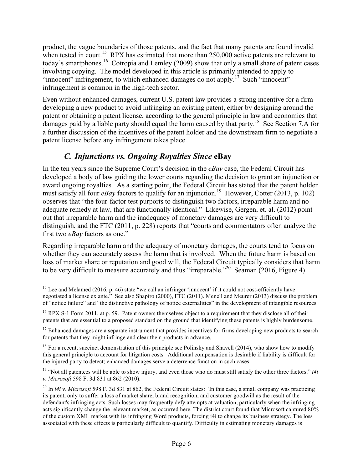product, the vague boundaries of those patents, and the fact that many patents are found invalid when tested in court.<sup>15</sup> RPX has estimated that more than  $250,000$  active patents are relevant to today's smartphones.<sup>16</sup> Cotropia and Lemley (2009) show that only a small share of patent cases involving copying. The model developed in this article is primarily intended to apply to "innocent" infringement, to which enhanced damages do not apply.<sup>17</sup> Such "innocent" infringement is common in the high-tech sector.

Even without enhanced damages, current U.S. patent law provides a strong incentive for a firm developing a new product to avoid infringing an existing patent, either by designing around the patent or obtaining a patent license, according to the general principle in law and economics that damages paid by a liable party should equal the harm caused by that party.<sup>18</sup> See Section 7.A for a further discussion of the incentives of the patent holder and the downstream firm to negotiate a patent license before any infringement takes place.

# *C. Injunctions vs. Ongoing Royalties Since* **eBay**

 $\overline{a}$ 

In the ten years since the Supreme Court's decision in the *eBay* case, the Federal Circuit has developed a body of law guiding the lower courts regarding the decision to grant an injunction or award ongoing royalties. As a starting point, the Federal Circuit has stated that the patent holder must satisfy all four *eBay* factors to qualify for an injunction.<sup>19</sup> However, Cotter (2013, p. 102) observes that "the four-factor test purports to distinguish two factors, irreparable harm and no adequate remedy at law, that are functionally identical." Likewise, Gergen, et. al. (2012) point out that irreparable harm and the inadequacy of monetary damages are very difficult to distinguish, and the FTC (2011, p. 228) reports that "courts and commentators often analyze the first two *eBay* factors as one."

Regarding irreparable harm and the adequacy of monetary damages, the courts tend to focus on whether they can accurately assess the harm that is involved. When the future harm is based on loss of market share or reputation and good will, the Federal Circuit typically considers that harm to be very difficult to measure accurately and thus "irreparable."<sup>20</sup> Seaman (2016, Figure 4)

<sup>18</sup> For a recent, succinct demonstration of this principle see Polinsky and Shavell (2014), who show how to modify this general principle to account for litigation costs. Additional compensation is desirable if liability is difficult for the injured party to detect; enhanced damages serve a deterrence function in such cases.

<sup>&</sup>lt;sup>15</sup> Lee and Melamed (2016, p. 46) state "we call an infringer 'innocent' if it could not cost-efficiently have negotiated a license ex ante." See also Shapiro (2000), FTC (2011). Menell and Meurer (2013) discuss the problem of "notice failure" and "the distinctive pathology of notice externalities" in the development of intangible resources.

<sup>&</sup>lt;sup>16</sup> RPX S-1 Form 2011, at p. 59. Patent owners themselves object to a requirement that they disclose all of their patents that are essential to a proposed standard on the ground that identifying these patents is highly burdensome.

 $17$  Enhanced damages are a separate instrument that provides incentives for firms developing new products to search for patents that they might infringe and clear their products in advance.

<sup>&</sup>lt;sup>19</sup> "Not all patentees will be able to show injury, and even those who do must still satisfy the other three factors." *i4i v. Microsoft* 598 F. 3d 831 at 862 (2010).

<sup>&</sup>lt;sup>20</sup> In *i4i v. Microsoft* 598 F. 3d 831 at 862, the Federal Circuit states: "In this case, a small company was practicing its patent, only to suffer a loss of market share, brand recognition, and customer goodwill as the result of the defendant's infringing acts. Such losses may frequently defy attempts at valuation, particularly when the infringing acts significantly change the relevant market, as occurred here. The district court found that Microsoft captured 80% of the custom XML market with its infringing Word products, forcing i4i to change its business strategy. The loss associated with these effects is particularly difficult to quantify. Difficulty in estimating monetary damages is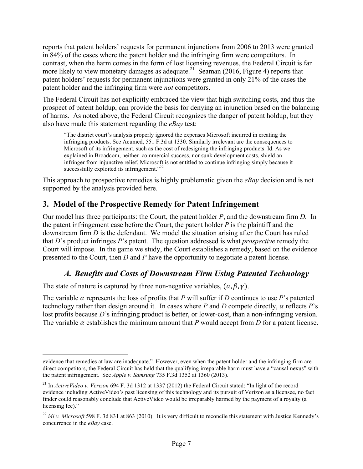reports that patent holders' requests for permanent injunctions from 2006 to 2013 were granted in 84% of the cases where the patent holder and the infringing firm were competitors. In contrast, when the harm comes in the form of lost licensing revenues, the Federal Circuit is far more likely to view monetary damages as adequate.<sup>21</sup> Seaman (2016, Figure 4) reports that patent holders' requests for permanent injunctions were granted in only 21% of the cases the patent holder and the infringing firm were *not* competitors.

The Federal Circuit has not explicitly embraced the view that high switching costs, and thus the prospect of patent holdup, can provide the basis for denying an injunction based on the balancing of harms. As noted above, the Federal Circuit recognizes the danger of patent holdup, but they also have made this statement regarding the *eBay* test:

"The district court's analysis properly ignored the expenses Microsoft incurred in creating the infringing products. See Acumed, 551 F.3d at 1330. Similarly irrelevant are the consequences to Microsoft of its infringement, such as the cost of redesigning the infringing products. Id. As we explained in Broadcom, neither commercial success, nor sunk development costs, shield an infringer from injunctive relief. Microsoft is not entitled to continue infringing simply because it successfully exploited its infringement."<sup>22</sup>

This approach to prospective remedies is highly problematic given the *eBay* decision and is not supported by the analysis provided here.

# **3. Model of the Prospective Remedy for Patent Infringement**

Our model has three participants: the Court, the patent holder *P*, and the downstream firm *D.* In the patent infringement case before the Court, the patent holder *P* is the plaintiff and the downstream firm *D* is the defendant. We model the situation arising after the Court has ruled that *D*'s product infringes *P*'s patent. The question addressed is what *prospective* remedy the Court will impose. In the game we study, the Court establishes a remedy, based on the evidence presented to the Court, then *D* and *P* have the opportunity to negotiate a patent license.

# *A. Benefits and Costs of Downstream Firm Using Patented Technology*

The state of nature is captured by three non-negative variables,  $(\alpha, \beta, \gamma)$ .

 $\overline{a}$ 

The variable  $\alpha$  represents the loss of profits that *P* will suffer if *D* continues to use *P*'s patented technology rather than design around it. In cases where *P* and *D* compete directly,  $\alpha$  reflects *P*'s lost profits because *D*'s infringing product is better, or lower-cost, than a non-infringing version. The variable  $\alpha$  establishes the minimum amount that *P* would accept from *D* for a patent license.

evidence that remedies at law are inadequate." However, even when the patent holder and the infringing firm are direct competitors, the Federal Circuit has held that the qualifying irreparable harm must have a "causal nexus" with the patent infringement. See *Apple v. Samsung* 735 F.3d 1352 at 1360 (2013).

<sup>21</sup> In *ActiveVideo v. Verizon* 694 F. 3d 1312 at 1337 (2012) the Federal Circuit stated: "In light of the record evidence including ActiveVideo's past licensing of this technology and its pursuit of Verizon as a licensee, no fact finder could reasonably conclude that ActiveVideo would be irreparably harmed by the payment of a royalty (a licensing fee)."

 $^{22}$  *i4i v. Microsoft* 598 F. 3d 831 at 863 (2010). It is very difficult to reconcile this statement with Justice Kennedy's concurrence in the *eBay* case.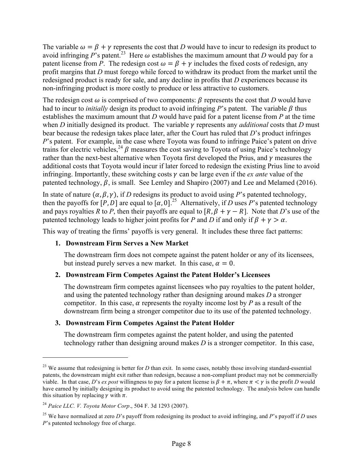The variable  $\omega = \beta + \gamma$  represents the cost that *D* would have to incur to redesign its product to avoid infringing P's patent.<sup>23</sup> Here  $\omega$  establishes the maximum amount that *D* would pay for a patent license from *P*. The redesign cost  $\omega = \beta + \gamma$  includes the fixed costs of redesign, any profit margins that *D* must forego while forced to withdraw its product from the market until the redesigned product is ready for sale, and any decline in profits that *D* experiences because its non-infringing product is more costly to produce or less attractive to customers.

The redesign cost  $\omega$  is comprised of two components:  $\beta$  represents the cost that *D* would have had to incur to *initially* design its product to avoid infringing *P*'s patent. The variable  $\beta$  thus establishes the maximum amount that *D* would have paid for a patent license from *P* at the time when *D* initially designed its product. The variable  $\gamma$  represents any *additional* costs that *D* must bear because the redesign takes place later, after the Court has ruled that *D*'s product infringes *P*'s patent. For example, in the case where Toyota was found to infringe Paice's patent on drive trains for electric vehicles,  $^{24}$   $\beta$  measures the cost saving to Toyota of using Paice's technology rather than the next-best alternative when Toyota first developed the Prius, and  $\nu$  measures the additional costs that Toyota would incur if later forced to redesign the existing Prius line to avoid infringing. Importantly, these switching costs  $\gamma$  can be large even if the *ex ante* value of the patented technology,  $\beta$ , is small. See Lemley and Shapiro (2007) and Lee and Melamed (2016).

In state of nature  $(\alpha, \beta, \gamma)$ , if *D* redesigns its product to avoid using *P*'s patented technology, then the payoffs for  $[P, D]$  are equal to  $[\alpha, 0]$ <sup>25</sup> Alternatively, if *D* uses *P*'s patented technology and pays royalties *R* to *P*, then their payoffs are equal to  $[R, \beta + \gamma - R]$ . Note that *D*'s use of the patented technology leads to higher joint profits for *P* and *D* if and only if  $\beta + \gamma > \alpha$ .

This way of treating the firms' payoffs is very general. It includes these three fact patterns:

#### **1. Downstream Firm Serves a New Market**

The downstream firm does not compete against the patent holder or any of its licensees, but instead purely serves a new market. In this case,  $\alpha = 0$ .

### **2. Downstream Firm Competes Against the Patent Holder's Licensees**

The downstream firm competes against licensees who pay royalties to the patent holder, and using the patented technology rather than designing around makes *D* a stronger competitor. In this case,  $\alpha$  represents the royalty income lost by *P* as a result of the downstream firm being a stronger competitor due to its use of the patented technology.

#### **3. Downstream Firm Competes Against the Patent Holder**

The downstream firm competes against the patent holder, and using the patented technology rather than designing around makes *D* is a stronger competitor. In this case,

<sup>&</sup>lt;sup>23</sup> We assume that redesigning is better for *D* than exit. In some cases, notably those involving standard-essential patents, the downstream might exit rather than redesign, because a non-compliant product may not be commercially viable. In that case, *D*'s *ex post* willingness to pay for a patent license is  $\beta + \pi$ , where  $\pi < \gamma$  is the profit *D* would have earned by initially designing its product to avoid using the patented technology. The analysis below can handle this situation by replacing  $\gamma$  with  $\pi$ .

<sup>24</sup> *Paice LLC. V. Toyota Motor Corp*., 504 F. 3d 1293 (2007).

<sup>25</sup> We have normalized at zero *D*'s payoff from redesigning its product to avoid infringing, and *P*'s payoff if *D* uses *P*'s patented technology free of charge.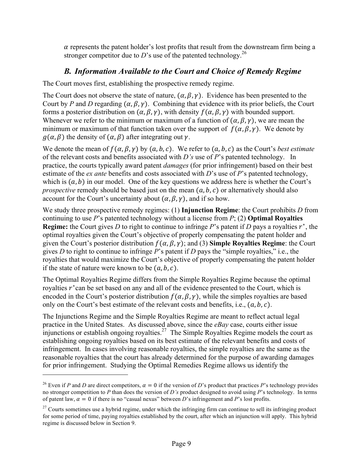$\alpha$  represents the patent holder's lost profits that result from the downstream firm being a stronger competitor due to  $D$ 's use of the patented technology.<sup>26</sup>

# *B. Information Available to the Court and Choice of Remedy Regime*

The Court moves first, establishing the prospective remedy regime.

The Court does not observe the state of nature,  $(\alpha, \beta, \gamma)$ . Evidence has been presented to the Court by *P* and *D* regarding  $(\alpha, \beta, \gamma)$ . Combining that evidence with its prior beliefs, the Court forms a posterior distribution on  $(\alpha, \beta, \gamma)$ , with density  $f(\alpha, \beta, \gamma)$  with bounded support. Whenever we refer to the minimum or maximum of a function of  $(\alpha, \beta, \gamma)$ , we are mean the minimum or maximum of that function taken over the support of  $f(\alpha, \beta, \gamma)$ . We denote by  $q(\alpha, \beta)$  the density of  $(\alpha, \beta)$  after integrating out y.

We denote the mean of  $f(\alpha, \beta, \gamma)$  by  $(a, b, c)$ . We refer to  $(a, b, c)$  as the Court's *best estimate* of the relevant costs and benefits associated with *D's* use of *P*'s patented technology. In practice, the courts typically award patent *damages* (for prior infringement) based on their best estimate of the *ex ante* benefits and costs associated with *D*'s use of *P*'s patented technology, which is  $(a, b)$  in our model. One of the key questions we address here is whether the Court's *prospective* remedy should be based just on the mean  $(a, b, c)$  or alternatively should also account for the Court's uncertainty about  $(\alpha, \beta, \gamma)$ , and if so how.

We study three prospective remedy regimes: (1) **Injunction Regime**: the Court prohibits *D* from continuing to use *P*'s patented technology without a license from *P*; (2) **Optimal Royalties Regime:** the Court gives *D* to right to continue to infringe *P*'s patent if *D* pays a royalties  $r^*$ , the optimal royalties given the Court's objective of properly compensating the patent holder and given the Court's posterior distribution  $f(\alpha, \beta, \gamma)$ ; and (3) **Simple Royalties Regime**: the Court gives *D* to right to continue to infringe *P*'s patent if *D* pays the "simple royalties," i.e., the royalties that would maximize the Court's objective of properly compensating the patent holder if the state of nature were known to be  $(a, b, c)$ .

The Optimal Royalties Regime differs from the Simple Royalties Regime because the optimal royalties  $r^*$  can be set based on any and all of the evidence presented to the Court, which is encoded in the Court's posterior distribution  $f(\alpha, \beta, \gamma)$ , while the simples royalties are based only on the Court's best estimate of the relevant costs and benefits, i.e.,  $(a, b, c)$ .

The Injunctions Regime and the Simple Royalties Regime are meant to reflect actual legal practice in the United States. As discussed above, since the *eBay* case, courts either issue injunctions or establish ongoing royalties.<sup>27</sup> The Simple Royalties Regime models the court as establishing ongoing royalties based on its best estimate of the relevant benefits and costs of infringement. In cases involving reasonable royalties, the simple royalties are the same as the reasonable royalties that the court has already determined for the purpose of awarding damages for prior infringement. Studying the Optimal Remedies Regime allows us identify the

<sup>&</sup>lt;sup>26</sup> Even if *P* and *D* are direct competitors,  $\alpha = 0$  if the version of *D*'s product that practices *P*'s technology provides no stronger competition to *P* than does the version of *D's* product designed to avoid using *P*'s technology. In terms of patent law,  $\alpha = 0$  if there is no "casual nexus" between *D*'s infringement and *P*'s lost profits.

 $27$  Courts sometimes use a hybrid regime, under which the infringing firm can continue to sell its infringing product for some period of time, paying royalties established by the court, after which an injunction will apply. This hybrid regime is discussed below in Section 9.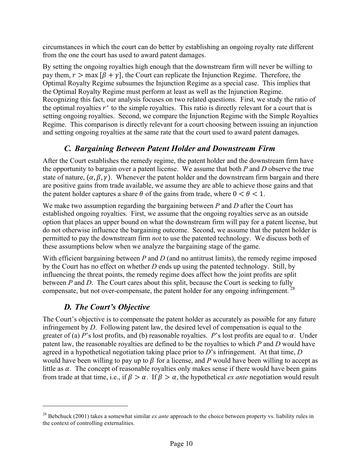circumstances in which the court can do better by establishing an ongoing royalty rate different from the one the court has used to award patent damages.

By setting the ongoing royalties high enough that the downstream firm will never be willing to pay them,  $r > \max [\beta + \gamma]$ , the Court can replicate the Injunction Regime. Therefore, the Optimal Royalty Regime subsumes the Injunction Regime as a special case. This implies that the Optimal Royalty Regime must perform at least as well as the Injunction Regime. Recognizing this fact, our analysis focuses on two related questions. First, we study the ratio of the optimal royalties  $r^*$  to the simple royalties. This ratio is directly relevant for a court that is setting ongoing royalties. Second, we compare the Injunction Regime with the Simple Royalties Regime. This comparison is directly relevant for a court choosing between issuing an injunction and setting ongoing royalties at the same rate that the court used to award patent damages.

### *C. Bargaining Between Patent Holder and Downstream Firm*

After the Court establishes the remedy regime, the patent holder and the downstream firm have the opportunity to bargain over a patent license. We assume that both *P* and *D* observe the true state of nature,  $(\alpha, \beta, \gamma)$ . Whenever the patent holder and the downstream firm bargain and there are positive gains from trade available, we assume they are able to achieve those gains and that the patent holder captures a share  $\theta$  of the gains from trade, where  $0 < \theta < 1$ .

We make two assumption regarding the bargaining between *P* and *D* after the Court has established ongoing royalties. First, we assume that the ongoing royalties serve as an outside option that places an upper bound on what the downstream firm will pay for a patent license, but do not otherwise influence the bargaining outcome. Second, we assume that the patent holder is permitted to pay the downstream firm *not* to use the patented technology. We discuss both of these assumptions below when we analyze the bargaining stage of the game.

With efficient bargaining between *P* and *D* (and no antitrust limits), the remedy regime imposed by the Court has no effect on whether *D* ends up using the patented technology. Still, by influencing the threat points, the remedy regime does affect how the joint profits are split between *P* and *D*. The Court cares about this split, because the Court is seeking to fully compensate, but not over-compensate, the patent holder for any ongoing infringement.<sup>28</sup>

### *D. The Court's Objective*

 $\overline{a}$ 

The Court's objective is to compensate the patent holder as accurately as possible for any future infringement by *D*. Following patent law, the desired level of compensation is equal to the greater of (a) *P*'s lost profits, and (b) reasonable royalties. *P*'s lost profits are equal to  $\alpha$ . Under patent law, the reasonable royalties are defined to be the royalties to which *P* and *D* would have agreed in a hypothetical negotiation taking place prior to *D*'s infringement. At that time, *D*  would have been willing to pay up to  $\beta$  for a license, and P would have been willing to accept as little as  $\alpha$ . The concept of reasonable royalties only makes sense if there would have been gains from trade at that time, i.e., if  $\beta > \alpha$ . If  $\beta > \alpha$ , the hypothetical *ex ante* negotiation would result

<sup>28</sup> Bebchuck (2001) takes a somewhat similar *ex ante* approach to the choice between property vs. liability rules in the context of controlling externalities.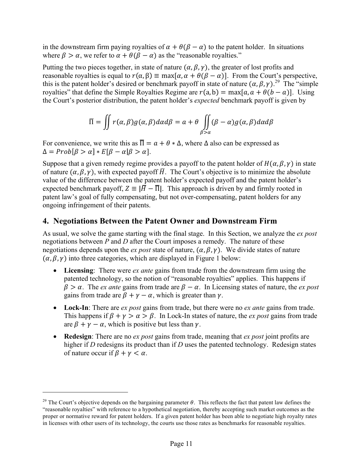in the downstream firm paying royalties of  $\alpha + \theta(\beta - \alpha)$  to the patent holder. In situations where  $\beta > \alpha$ , we refer to  $\alpha + \theta(\beta - \alpha)$  as the "reasonable royalties."

Putting the two pieces together, in state of nature  $(\alpha, \beta, \gamma)$ , the greater of lost profits and reasonable royalties is equal to  $r(\alpha, \beta) \equiv \max[\alpha, \alpha + \theta(\beta - \alpha)]$ . From the Court's perspective, this is the patent holder's desired or benchmark payoff in state of nature  $(\alpha, \beta, \gamma)$ .<sup>29</sup> The "simple" rovalties" that define the Simple Rovalties Regime are  $r(a, b) = \max[a, a + \theta(b - a)]$ . Using the Court's posterior distribution, the patent holder's *expected* benchmark payoff is given by

$$
\overline{\Pi} = \iint r(\alpha, \beta) g(\alpha, \beta) d\alpha d\beta = a + \theta \iint_{\beta > \alpha} (\beta - \alpha) g(\alpha, \beta) d\alpha d\beta
$$

For convenience, we write this as  $\overline{\Pi} = a + \theta * \Delta$ , where  $\Delta$  also can be expressed as  $\Delta = Prob[\beta > \alpha] * E[\beta - \alpha | \beta > \alpha].$ 

Suppose that a given remedy regime provides a payoff to the patent holder of  $H(\alpha, \beta, \gamma)$  in state of nature  $(\alpha, \beta, \gamma)$ , with expected payoff  $\overline{H}$ . The Court's objective is to minimize the absolute value of the difference between the patent holder's expected payoff and the patent holder's expected benchmark payoff,  $Z \equiv |\overline{H} - \overline{\Pi}|$ . This approach is driven by and firmly rooted in patent law's goal of fully compensating, but not over-compensating, patent holders for any ongoing infringement of their patents.

### **4. Negotiations Between the Patent Owner and Downstream Firm**

As usual, we solve the game starting with the final stage. In this Section, we analyze the *ex post* negotiations between *P* and *D* after the Court imposes a remedy. The nature of these negotiations depends upon the *ex post* state of nature,  $(\alpha, \beta, \gamma)$ . We divide states of nature  $(\alpha, \beta, \gamma)$  into three categories, which are displayed in Figure 1 below:

- **Licensing**: There were *ex ante* gains from trade from the downstream firm using the patented technology, so the notion of "reasonable royalties" applies. This happens if  $\beta > \alpha$ . The *ex ante* gains from trade are  $\beta - \alpha$ . In Licensing states of nature, the *ex post* gains from trade are  $\beta + \gamma - \alpha$ , which is greater than  $\gamma$ .
- **Lock-In**: There are *ex post* gains from trade, but there were no *ex ante* gains from trade. This happens if  $\beta + \gamma > \alpha > \beta$ . In Lock-In states of nature, the *ex post* gains from trade are  $\beta + \gamma - \alpha$ , which is positive but less than  $\gamma$ .
- **Redesign**: There are no *ex post* gains from trade, meaning that *ex post* joint profits are higher if *D* redesigns its product than if *D* uses the patented technology. Redesign states of nature occur if  $\beta + \gamma < \alpha$ .

<sup>&</sup>lt;sup>29</sup> The Court's objective depends on the bargaining parameter  $\theta$ . This reflects the fact that patent law defines the "reasonable royalties" with reference to a hypothetical negotiation, thereby accepting such market outcomes as the proper or normative reward for patent holders. If a given patent holder has been able to negotiate high royalty rates in licenses with other users of its technology, the courts use those rates as benchmarks for reasonable royalties.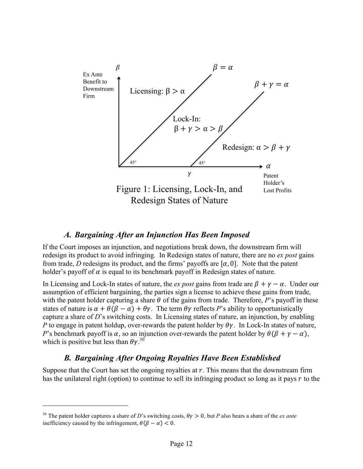

### *A. Bargaining After an Injunction Has Been Imposed*

If the Court imposes an injunction, and negotiations break down, the downstream firm will redesign its product to avoid infringing. In Redesign states of nature, there are no *ex post* gains from trade, *D* redesigns its product, and the firms' payoffs are  $[\alpha, 0]$ . Note that the patent holder's payoff of  $\alpha$  is equal to its benchmark payoff in Redesign states of nature.

In Licensing and Lock-In states of nature, the *ex post* gains from trade are  $\beta + \gamma - \alpha$ . Under our assumption of efficient bargaining, the parties sign a license to achieve these gains from trade, with the patent holder capturing a share  $\theta$  of the gains from trade. Therefore, *P*'s payoff in these states of nature is  $\alpha + \theta(\beta - \alpha) + \theta\gamma$ . The term  $\theta\gamma$  reflects *P*'s ability to opportunistically capture a share of *D*'s switching costs. In Licensing states of nature, an injunction, by enabling *P* to engage in patent holdup, over-rewards the patent holder by  $\theta \gamma$ . In Lock-In states of nature, *P*'s benchmark payoff is  $\alpha$ , so an injunction over-rewards the patent holder by  $\theta(\beta + \gamma - \alpha)$ , which is positive but less than  $\theta \gamma$ .<sup>30</sup>

### *B. Bargaining After Ongoing Royalties Have Been Established*

Suppose that the Court has set the ongoing royalties at  $r$ . This means that the downstream firm has the unilateral right (option) to continue to sell its infringing product so long as it pays  $r$  to the

<sup>&</sup>lt;sup>30</sup> The patent holder captures a share of *D*'s switching costs,  $\theta \gamma > 0$ , but *P* also bears a share of the *ex ante* inefficiency caused by the infringement,  $\theta(\beta - \alpha) < 0$ .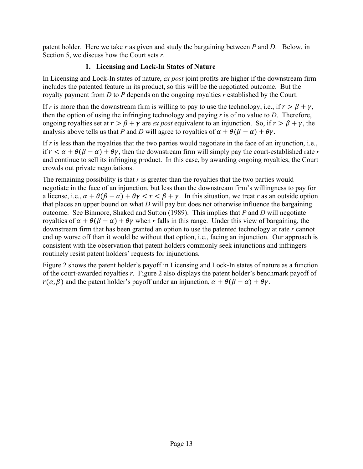patent holder. Here we take *r* as given and study the bargaining between *P* and *D*. Below, in Section 5, we discuss how the Court sets *r*.

### **1. Licensing and Lock-In States of Nature**

In Licensing and Lock-In states of nature, *ex post* joint profits are higher if the downstream firm includes the patented feature in its product, so this will be the negotiated outcome. But the royalty payment from *D* to *P* depends on the ongoing royalties *r* established by the Court.

If *r* is more than the downstream firm is willing to pay to use the technology, i.e., if  $r > \beta + \gamma$ , then the option of using the infringing technology and paying *r* is of no value to *D*. Therefore, ongoing royalties set at  $r > \beta + \gamma$  are *ex post* equivalent to an injunction. So, if  $r > \beta + \gamma$ , the analysis above tells us that *P* and *D* will agree to royalties of  $\alpha + \theta(\beta - \alpha) + \theta\gamma$ .

If *r* is less than the royalties that the two parties would negotiate in the face of an injunction, i.e., if  $r < \alpha + \theta(\beta - \alpha) + \theta\gamma$ , then the downstream firm will simply pay the court-established rate r and continue to sell its infringing product. In this case, by awarding ongoing royalties, the Court crowds out private negotiations.

The remaining possibility is that *r* is greater than the royalties that the two parties would negotiate in the face of an injunction, but less than the downstream firm's willingness to pay for a license, i.e.,  $\alpha + \theta(\beta - \alpha) + \theta\gamma < r < \beta + \gamma$ . In this situation, we treat *r* as an outside option that places an upper bound on what *D* will pay but does not otherwise influence the bargaining outcome. See Binmore, Shaked and Sutton (1989). This implies that *P* and *D* will negotiate royalties of  $\alpha + \theta(\beta - \alpha) + \theta\gamma$  when r falls in this range. Under this view of bargaining, the downstream firm that has been granted an option to use the patented technology at rate *r* cannot end up worse off than it would be without that option, i.e., facing an injunction. Our approach is consistent with the observation that patent holders commonly seek injunctions and infringers routinely resist patent holders' requests for injunctions.

Figure 2 shows the patent holder's payoff in Licensing and Lock-In states of nature as a function of the court-awarded royalties *r*. Figure 2 also displays the patent holder's benchmark payoff of  $r(\alpha, \beta)$  and the patent holder's payoff under an injunction,  $\alpha + \theta(\beta - \alpha) + \theta\gamma$ .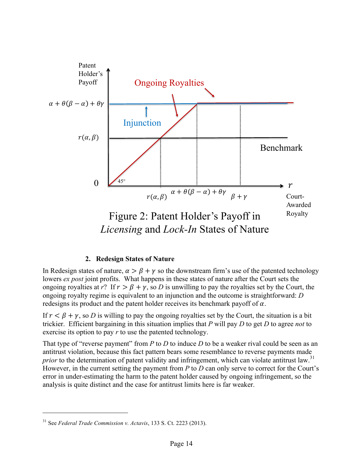

### **2. Redesign States of Nature**

In Redesign states of nature,  $\alpha > \beta + \gamma$  so the downstream firm's use of the patented technology lowers *ex post* joint profits. What happens in these states of nature after the Court sets the ongoing royalties at *r*? If  $r > \beta + \gamma$ , so *D* is unwilling to pay the royalties set by the Court, the ongoing royalty regime is equivalent to an injunction and the outcome is straightforward: *D* redesigns its product and the patent holder receives its benchmark payoff of  $\alpha$ .

If  $r < \beta + \gamma$ , so *D* is willing to pay the ongoing royalties set by the Court, the situation is a bit trickier. Efficient bargaining in this situation implies that *P* will pay *D* to get *D* to agree *not* to exercise its option to pay *r* to use the patented technology.

That type of "reverse payment" from *P* to *D* to induce *D* to be a weaker rival could be seen as an antitrust violation, because this fact pattern bears some resemblance to reverse payments made *prior* to the determination of patent validity and infringement, which can violate antitrust law.<sup>31</sup> However, in the current setting the payment from *P* to *D* can only serve to correct for the Court's error in under-estimating the harm to the patent holder caused by ongoing infringement, so the analysis is quite distinct and the case for antitrust limits here is far weaker.

<sup>31</sup> See *Federal Trade Commission v. Actavis*, 133 S. Ct. 2223 (2013).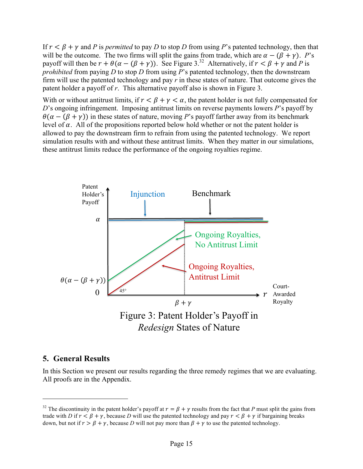If  $r < \beta + \gamma$  and *P* is *permitted* to pay *D* to stop *D* from using *P*'s patented technology, then that will be the outcome. The two firms will split the gains from trade, which are  $\alpha - (\beta + \gamma)$ . *P*'s payoff will then be  $r + \theta(\alpha - (\beta + \gamma))$ . See Figure 3.<sup>32</sup> Alternatively, if  $r < \beta + \gamma$  and P is *prohibited* from paying *D* to stop *D* from using *P*'s patented technology, then the downstream firm will use the patented technology and pay *r* in these states of nature. That outcome gives the patent holder a payoff of *r*. This alternative payoff also is shown in Figure 3.

With or without antitrust limits, if  $r < \beta + \gamma < \alpha$ , the patent holder is not fully compensated for *D*'s ongoing infringement. Imposing antitrust limits on reverse payments lowers *P*'s payoff by  $\theta(\alpha - (\beta + \gamma))$  in these states of nature, moving *P*'s payoff farther away from its benchmark level of  $\alpha$ . All of the propositions reported below hold whether or not the patent holder is allowed to pay the downstream firm to refrain from using the patented technology. We report simulation results with and without these antitrust limits. When they matter in our simulations, these antitrust limits reduce the performance of the ongoing royalties regime.



### **5. General Results**

 $\overline{a}$ 

In this Section we present our results regarding the three remedy regimes that we are evaluating. All proofs are in the Appendix.

<sup>&</sup>lt;sup>32</sup> The discontinuity in the patent holder's payoff at  $r = \beta + \gamma$  results from the fact that *P* must split the gains from trade with *D* if  $r < \beta + \gamma$ , because *D* will use the patented technology and pay  $r < \beta + \gamma$  if bargaining breaks down, but not if  $r > \beta + \gamma$ , because *D* will not pay more than  $\beta + \gamma$  to use the patented technology.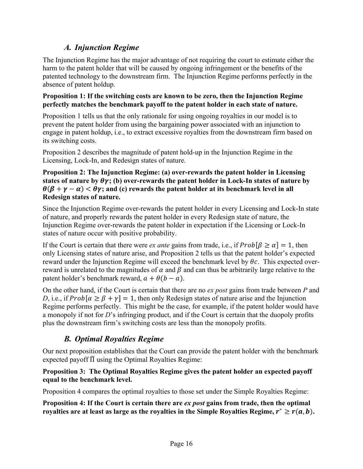# *A. Injunction Regime*

The Injunction Regime has the major advantage of not requiring the court to estimate either the harm to the patent holder that will be caused by ongoing infringement or the benefits of the patented technology to the downstream firm. The Injunction Regime performs perfectly in the absence of patent holdup.

### **Proposition 1: If the switching costs are known to be zero, then the Injunction Regime perfectly matches the benchmark payoff to the patent holder in each state of nature.**

Proposition 1 tells us that the only rationale for using ongoing royalties in our model is to prevent the patent holder from using the bargaining power associated with an injunction to engage in patent holdup, i.e., to extract excessive royalties from the downstream firm based on its switching costs.

Proposition 2 describes the magnitude of patent hold-up in the Injunction Regime in the Licensing, Lock-In, and Redesign states of nature.

### **Proposition 2: The Injunction Regime: (a) over-rewards the patent holder in Licensing states** of nature by  $\theta \gamma$ ; (b) over-rewards the patent holder in Lock-In states of nature by  $\theta(\beta + \gamma - \alpha) < \theta\gamma$ ; and (c) rewards the patent holder at its benchmark level in all **Redesign states of nature.**

Since the Injunction Regime over-rewards the patent holder in every Licensing and Lock-In state of nature, and properly rewards the patent holder in every Redesign state of nature, the Injunction Regime over-rewards the patent holder in expectation if the Licensing or Lock-In states of nature occur with positive probability.

If the Court is certain that there were *ex ante* gains from trade, i.e., if  $Prob[\beta \ge \alpha] = 1$ , then only Licensing states of nature arise, and Proposition 2 tells us that the patent holder's expected reward under the Injunction Regime will exceed the benchmark level by  $\theta c$ . This expected overreward is unrelated to the magnitudes of  $\alpha$  and  $\beta$  and can thus be arbitrarily large relative to the patent holder's benchmark reward,  $a + \theta(b - a)$ .

On the other hand, if the Court is certain that there are no *ex post* gains from trade between *P* and *D*, i.e., if  $Prob[\alpha \ge \beta + \gamma] = 1$ , then only Redesign states of nature arise and the Injunction Regime performs perfectly. This might be the case, for example, if the patent holder would have a monopoly if not for *D*'s infringing product, and if the Court is certain that the duopoly profits plus the downstream firm's switching costs are less than the monopoly profits.

# *B. Optimal Royalties Regime*

Our next proposition establishes that the Court can provide the patent holder with the benchmark expected payoff  $\overline{\Pi}$  using the Optimal Royalties Regime:

### **Proposition 3: The Optimal Royalties Regime gives the patent holder an expected payoff equal to the benchmark level.**

Proposition 4 compares the optimal royalties to those set under the Simple Royalties Regime:

**Proposition 4: If the Court is certain there are** *ex post* **gains from trade, then the optimal royalties are at least as large as the royalties in the Simple Royalties Regime,**  $r^* \ge r(a, b)$ **.**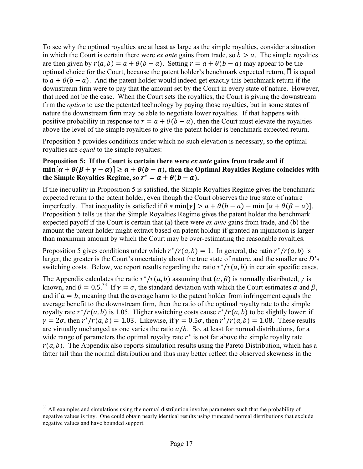To see why the optimal royalties are at least as large as the simple royalties, consider a situation in which the Court is certain there were *ex ante* gains from trade, so  $b > a$ . The simple royalties are then given by  $r(a, b) = a + \theta(b - a)$ . Setting  $r = a + \theta(b - a)$  may appear to be the optimal choice for the Court, because the patent holder's benchmark expected return,  $\overline{\Pi}$  is equal to  $a + \theta(b - a)$ . And the patent holder would indeed get exactly this benchmark return if the downstream firm were to pay that the amount set by the Court in every state of nature. However, that need not be the case. When the Court sets the royalties, the Court is giving the downstream firm the *option* to use the patented technology by paying those royalties, but in some states of nature the downstream firm may be able to negotiate lower royalties. If that happens with positive probability in response to  $r = a + \theta(b - a)$ , then the Court must elevate the royalties above the level of the simple royalties to give the patent holder is benchmark expected return.

Proposition 5 provides conditions under which no such elevation is necessary, so the optimal royalties are *equal* to the simple royalties:

### **Proposition 5: If the Court is certain there were** *ex ante* **gains from trade and if**   $\min[\alpha + \theta(\beta + \gamma - \alpha)] \ge a + \theta(b - a)$ , then the Optimal Royalties Regime coincides with **the Simple Royalties Regime, so**  $r^* = a + \theta(b - a)$ **.**

If the inequality in Proposition 5 is satisfied, the Simple Royalties Regime gives the benchmark expected return to the patent holder, even though the Court observes the true state of nature imperfectly. That inequality is satisfied if  $\theta * min[y] > a + \theta(b - a) - min[\alpha + \theta(\beta - \alpha)].$ Proposition 5 tells us that the Simple Royalties Regime gives the patent holder the benchmark expected payoff if the Court is certain that (a) there were *ex ante* gains from trade, and (b) the amount the patent holder might extract based on patent holdup if granted an injunction is larger than maximum amount by which the Court may be over-estimating the reasonable royalties.

Proposition 5 gives conditions under which  $r^*/r(a, b) = 1$ . In general, the ratio  $r^*/r(a, b)$  is larger, the greater is the Court's uncertainty about the true state of nature, and the smaller are *D*'s switching costs. Below, we report results regarding the ratio  $r^*/r(a, b)$  in certain specific cases.

The Appendix calculates the ratio  $r^*/r(a, b)$  assuming that  $(a, \beta)$  is normally distributed,  $\gamma$  is known, and  $\theta = 0.5^{33}$  If  $\gamma = \sigma$ , the standard deviation with which the Court estimates  $\alpha$  and  $\beta$ , and if  $a = b$ , meaning that the average harm to the patent holder from infringement equals the average benefit to the downstream firm, then the ratio of the optimal royalty rate to the simple royalty rate  $r^*/r(a, b)$  is 1.05. Higher switching costs cause  $r^*/r(a, b)$  to be slightly lower: if  $\gamma = 2\sigma$ , then  $r^*/r(a, b) = 1.03$ . Likewise, if  $\gamma = 0.5\sigma$ , then  $r^*/r(a, b) = 1.08$ . These results are virtually unchanged as one varies the ratio  $a/b$ . So, at least for normal distributions, for a wide range of parameters the optimal royalty rate  $r^*$  is not far above the simple royalty rate  $r(a, b)$ . The Appendix also reports simulation results using the Pareto Distribution, which has a fatter tail than the normal distribution and thus may better reflect the observed skewness in the

<sup>&</sup>lt;sup>33</sup> All examples and simulations using the normal distribution involve parameters such that the probability of negative values is tiny. One could obtain nearly identical results using truncated normal distributions that exclude negative values and have bounded support.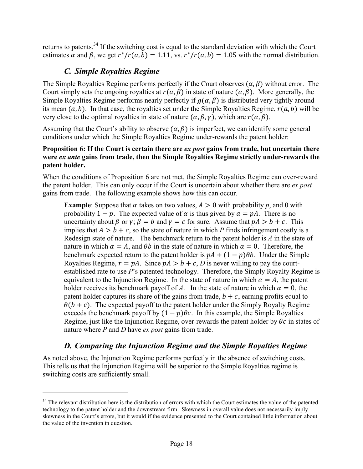returns to patents.<sup>34</sup> If the switching cost is equal to the standard deviation with which the Court estimates  $\alpha$  and  $\beta$ , we get  $r^*/r(a, b) = 1.11$ , vs.  $r^*/r(a, b) = 1.05$  with the normal distribution.

# *C. Simple Royalties Regime*

 $\overline{a}$ 

The Simple Royalties Regime performs perfectly if the Court observes  $(\alpha, \beta)$  without error. The Court simply sets the ongoing royalties at  $r(\alpha, \beta)$  in state of nature  $(\alpha, \beta)$ . More generally, the Simple Royalties Regime performs nearly perfectly if  $g(\alpha, \beta)$  is distributed very tightly around its mean  $(a, b)$ . In that case, the royalties set under the Simple Royalties Regime,  $r(a, b)$  will be very close to the optimal royalties in state of nature  $(\alpha, \beta, \gamma)$ , which are  $r(\alpha, \beta)$ .

Assuming that the Court's ability to observe  $(\alpha, \beta)$  is imperfect, we can identify some general conditions under which the Simple Royalties Regime under-rewards the patent holder:

### **Proposition 6: If the Court is certain there are** *ex post* **gains from trade, but uncertain there were** *ex ante* **gains from trade, then the Simple Royalties Regime strictly under-rewards the patent holder.**

When the conditions of Proposition 6 are not met, the Simple Royalties Regime can over-reward the patent holder. This can only occur if the Court is uncertain about whether there are *ex post* gains from trade. The following example shows how this can occur.

**Example**: Suppose that  $\alpha$  takes on two values,  $A > 0$  with probability p, and 0 with probability  $1 - p$ . The expected value of  $\alpha$  is thus given by  $a = pA$ . There is no uncertainty about  $\beta$  or  $\gamma$ ;  $\beta = b$  and  $\gamma = c$  for sure. Assume that  $pA > b + c$ . This implies that  $A > b + c$ , so the state of nature in which *P* finds infringement costly is a Redesign state of nature. The benchmark return to the patent holder is *A* in the state of nature in which  $\alpha = A$ , and  $\theta b$  in the state of nature in which  $\alpha = 0$ . Therefore, the benchmark expected return to the patent holder is  $pA + (1 - p)\theta b$ . Under the Simple Royalties Regime,  $r = pA$ . Since  $pA > b + c$ , *D* is never willing to pay the courtestablished rate to use *P*'s patented technology. Therefore, the Simply Royalty Regime is equivalent to the Injunction Regime. In the state of nature in which  $\alpha = A$ , the patent holder receives its benchmark payoff of *A*. In the state of nature in which  $\alpha = 0$ , the patent holder captures its share of the gains from trade,  $b + c$ , earning profits equal to  $\theta(b + c)$ . The expected payoff to the patent holder under the Simply Royalty Regime exceeds the benchmark payoff by  $(1 - p)\theta c$ . In this example, the Simple Royalties Regime, just like the Injunction Regime, over-rewards the patent holder by  $\theta_c$  in states of nature where *P* and *D* have *ex post* gains from trade.

### *D. Comparing the Injunction Regime and the Simple Royalties Regime*

As noted above, the Injunction Regime performs perfectly in the absence of switching costs. This tells us that the Injunction Regime will be superior to the Simple Royalties regime is switching costs are sufficiently small.

<sup>&</sup>lt;sup>34</sup> The relevant distribution here is the distribution of errors with which the Court estimates the value of the patented technology to the patent holder and the downstream firm. Skewness in overall value does not necessarily imply skewness in the Court's errors, but it would if the evidence presented to the Court contained little information about the value of the invention in question.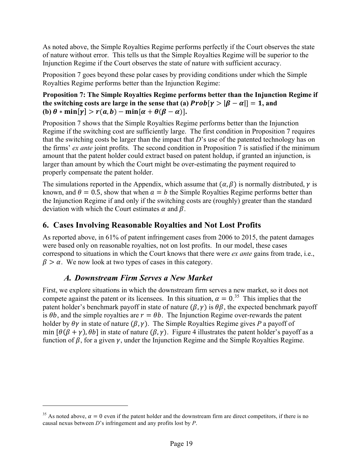As noted above, the Simple Royalties Regime performs perfectly if the Court observes the state of nature without error. This tells us that the Simple Royalties Regime will be superior to the Injunction Regime if the Court observes the state of nature with sufficient accuracy.

Proposition 7 goes beyond these polar cases by providing conditions under which the Simple Royalties Regime performs better than the Injunction Regime:

**Proposition 7: The Simple Royalties Regime performs better than the Injunction Regime if the switching costs are large in the sense that (a)**  $Prob[\gamma > |\beta - \alpha|] = 1$ **, and (b)**  $\theta * min[\gamma] > r(a, b) - min[\alpha + \theta(\beta - \alpha)].$ 

Proposition 7 shows that the Simple Royalties Regime performs better than the Injunction Regime if the switching cost are sufficiently large. The first condition in Proposition 7 requires that the switching costs be larger than the impact that *D*'s use of the patented technology has on the firms' *ex ante* joint profits. The second condition in Proposition 7 is satisfied if the minimum amount that the patent holder could extract based on patent holdup, if granted an injunction, is larger than amount by which the Court might be over-estimating the payment required to properly compensate the patent holder.

The simulations reported in the Appendix, which assume that  $(\alpha, \beta)$  is normally distributed,  $\gamma$  is known, and  $\theta = 0.5$ , show that when  $a = b$  the Simple Royalties Regime performs better than the Injunction Regime if and only if the switching costs are (roughly) greater than the standard deviation with which the Court estimates  $\alpha$  and  $\beta$ .

### **6. Cases Involving Reasonable Royalties and Not Lost Profits**

As reported above, in 61% of patent infringement cases from 2006 to 2015, the patent damages were based only on reasonable royalties, not on lost profits. In our model, these cases correspond to situations in which the Court knows that there were *ex ante* gains from trade, i.e.,  $\beta > \alpha$ . We now look at two types of cases in this category.

### *A. Downstream Firm Serves a New Market*

 $\overline{a}$ 

First, we explore situations in which the downstream firm serves a new market, so it does not compete against the patent or its licensees. In this situation,  $\alpha = 0^{35}$  This implies that the patent holder's benchmark payoff in state of nature  $(\beta, \gamma)$  is  $\theta\beta$ , the expected benchmark payoff is  $\theta b$ , and the simple royalties are  $r = \theta b$ . The Injunction Regime over-rewards the patent holder by  $\theta \gamma$  in state of nature  $(\beta, \gamma)$ . The Simple Royalties Regime gives *P* a payoff of min  $[\theta(\beta + \gamma), \theta b]$  in state of nature  $(\beta, \gamma)$ . Figure 4 illustrates the patent holder's payoff as a function of  $\beta$ , for a given  $\gamma$ , under the Injunction Regime and the Simple Royalties Regime.

<sup>&</sup>lt;sup>35</sup> As noted above,  $\alpha = 0$  even if the patent holder and the downstream firm are direct competitors, if there is no causal nexus between *D*'s infringement and any profits lost by *P*.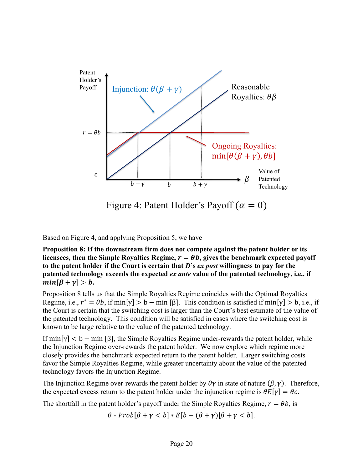

Figure 4: Patent Holder's Payoff ( $\alpha = 0$ )

Based on Figure 4, and applying Proposition 5, we have

**Proposition 8: If the downstream firm does not compete against the patent holder or its**  licensees, then the Simple Royalties Regime,  $r = \theta b$ , gives the benchmark expected payoff **to the patent holder if the Court is certain that** *D***'s** *ex post* **willingness to pay for the patented technology exceeds the expected** *ex ante* **value of the patented technology, i.e., if**   $min[\beta + \gamma] > b.$ 

Proposition 8 tells us that the Simple Royalties Regime coincides with the Optimal Royalties Regime, i.e.,  $r^* = \theta b$ , if min  $[\gamma] > b - \min [\beta]$ . This condition is satisfied if min  $[\gamma] > b$ , i.e., if the Court is certain that the switching cost is larger than the Court's best estimate of the value of the patented technology. This condition will be satisfied in cases where the switching cost is known to be large relative to the value of the patented technology.

If  $\min[\gamma] < b - \min[\beta]$ , the Simple Royalties Regime under-rewards the patent holder, while the Injunction Regime over-rewards the patent holder. We now explore which regime more closely provides the benchmark expected return to the patent holder. Larger switching costs favor the Simple Royalties Regime, while greater uncertainty about the value of the patented technology favors the Injunction Regime.

The Injunction Regime over-rewards the patent holder by  $\theta\gamma$  in state of nature  $(\beta, \gamma)$ . Therefore, the expected excess return to the patent holder under the injunction regime is  $\theta E[\gamma] = \theta c$ .

The shortfall in the patent holder's payoff under the Simple Royalties Regime,  $r = \theta b$ , is

 $\theta * Prob[\beta + \gamma < b] * E[b - (\beta + \gamma)[\beta + \gamma < b].$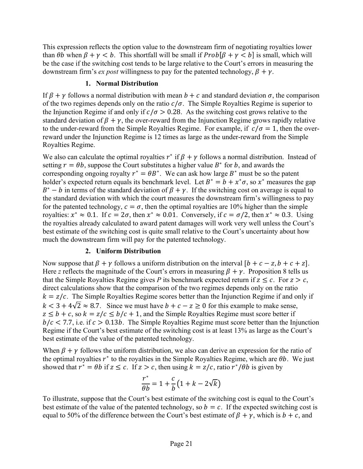This expression reflects the option value to the downstream firm of negotiating royalties lower than  $\theta b$  when  $\beta + \gamma < b$ . This shortfall will be small if  $Prob[\beta + \gamma < b]$  is small, which will be the case if the switching cost tends to be large relative to the Court's errors in measuring the downstream firm's *ex post* willingness to pay for the patented technology,  $\beta + \gamma$ .

#### **1. Normal Distribution**

If  $\beta + \nu$  follows a normal distribution with mean  $b + c$  and standard deviation  $\sigma$ , the comparison of the two regimes depends only on the ratio  $c/\sigma$ . The Simple Royalties Regime is superior to the Injunction Regime if and only if  $c/\sigma > 0.28$ . As the switching cost grows relative to the standard deviation of  $\beta + \gamma$ , the over-reward from the Injunction Regime grows rapidly relative to the under-reward from the Simple Royalties Regime. For example, if  $c/\sigma = 1$ , then the overreward under the Injunction Regime is 12 times as large as the under-reward from the Simple Royalties Regime.

We also can calculate the optimal royalties  $r^*$  if  $\beta + \gamma$  follows a normal distribution. Instead of setting  $r = \theta b$ , suppose the Court substitutes a higher value  $B^*$  for b, and awards the corresponding ongoing royalty  $r^* = \theta B^*$ . We can ask how large  $B^*$  must be so the patent holder's expected return equals its benchmark level. Let  $B^* = b + x^* \sigma$ , so  $x^*$  measures the gap  $B^* - b$  in terms of the standard deviation of  $\beta + \gamma$ . If the switching cost on average is equal to the standard deviation with which the court measures the downstream firm's willingness to pay for the patented technology,  $c = \sigma$ , then the optimal royalties are 10% higher than the simple royalties:  $x^* \approx 0.1$ . If  $c = 2\sigma$ , then  $x^* \approx 0.01$ . Conversely, if  $c = \sigma/2$ , then  $x^* \approx 0.3$ . Using the royalties already calculated to award patent damages will work very well unless the Court's best estimate of the switching cost is quite small relative to the Court's uncertainty about how much the downstream firm will pay for the patented technology.

#### **2. Uniform Distribution**

Now suppose that  $\beta + \gamma$  follows a uniform distribution on the interval  $[b + c - z, b + c + z]$ . Here *z* reflects the magnitude of the Court's errors in measuring  $\beta + \gamma$ . Proposition 8 tells us that the Simple Royalties Regime gives *P* its benchmark expected return if  $z \leq c$ . For  $z > c$ , direct calculations show that the comparison of the two regimes depends only on the ratio  $k = z/c$ . The Simple Royalties Regime scores better than the Injunction Regime if and only if  $k < 3 + 4\sqrt{2} \approx 8.7$ . Since we must have  $b + c - z \ge 0$  for this example to make sense,  $z \leq b + c$ , so  $k = z/c \leq b/c + 1$ , and the Simple Royalties Regime must score better if  $b/c < 7.7$ , i.e. if  $c > 0.13b$ . The Simple Royalties Regime must score better than the Injunction Regime if the Court's best estimate of the switching cost is at least 13% as large as the Court's best estimate of the value of the patented technology.

When  $\beta + \gamma$  follows the uniform distribution, we also can derive an expression for the ratio of the optimal royalties  $r^*$  to the royalties in the Simple Royalties Regime, which are  $\theta b$ . We just showed that  $r^* = \theta b$  if  $z \leq c$ . If  $z > c$ , then using  $k = z/c$ , ratio  $r^* / \theta b$  is given by

$$
\frac{r^*}{\theta b} = 1 + \frac{c}{b} \left( 1 + k - 2\sqrt{k} \right)
$$

To illustrate, suppose that the Court's best estimate of the switching cost is equal to the Court's best estimate of the value of the patented technology, so  $b = c$ . If the expected switching cost is equal to 50% of the difference between the Court's best estimate of  $\beta + \gamma$ , which is  $b + c$ , and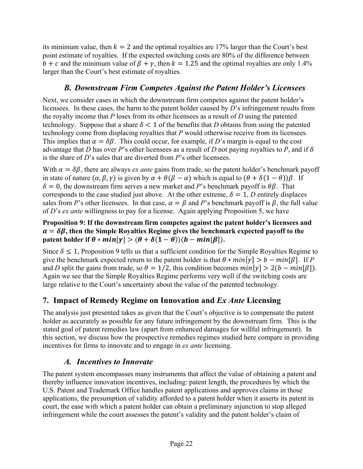its minimum value, then  $k = 2$  and the optimal royalties are 17% larger than the Court's best point estimate of royalties. If the expected switching costs are 80% of the difference between  $b + c$  and the minimum value of  $\beta + \gamma$ , then  $k = 1.25$  and the optimal royalties are only 1.4% larger than the Court's best estimate of royalties.

### *B. Downstream Firm Competes Against the Patent Holder's Licensees*

Next, we consider cases in which the downstream firm competes against the patent holder's licensees. In these cases, the harm to the patent holder caused by *D*'s infringement results from the royalty income that *P* loses from its other licensees as a result of *D* using the patented technology. Suppose that a share  $\delta$  < 1 of the benefits that *D* obtains from using the patented technology come from displacing royalties that *P* would otherwise receive from its licensees. This implies that  $\alpha = \delta \beta$ . This could occur, for example, if *D*'s margin is equal to the cost advantage that *D* has over *P*'s other licensees as a result of *D* not paying royalties to *P*, and if  $\delta$ is the share of *D*'s sales that are diverted from *P*'s other licensees.

With  $\alpha = \delta \beta$ , there are always *ex ante* gains from trade, so the patent holder's benchmark payoff in state of nature  $(\alpha, \beta, \gamma)$  is given by  $\alpha + \theta(\beta - \alpha)$  which is equal to  $(\theta + \delta(1 - \theta))\beta$ . If  $\delta = 0$ , the downstream firm serves a new market and *P*'s benchmark payoff is  $\theta\beta$ . That corresponds to the case studied just above. At the other extreme,  $\delta = 1$ , *D* entirely displaces sales from *P*'s other licensees. In that case,  $\alpha = \beta$  and *P*'s benchmark payoff is  $\beta$ , the full value of *D*'s *ex ante* willingness to pay for a license. Again applying Proposition 5, we have

**Proposition 9: If the downstream firm competes against the patent holder's licensees and**   $\alpha = \delta \beta$ , then the Simple Royalties Regime gives the benchmark expected payoff to the **patent holder if**  $\theta * min[\gamma] > (\theta + \delta(1 - \theta))(b - min[\beta]).$ 

Since  $\delta \leq 1$ , Proposition 9 tells us that a sufficient condition for the Simple Royalties Regime to give the benchmark expected return to the patent holder is that  $\theta * min[\gamma] > b - min[\beta]$ . If *P* and *D* split the gains from trade, so  $\theta = 1/2$ , this condition becomes  $min[\gamma] > 2(b - min[\beta])$ . Again we see that the Simple Royalties Regime performs very well if the switching costs are large relative to the Court's uncertainty about the value of the patented technology.

# **7. Impact of Remedy Regime on Innovation and** *Ex Ante* **Licensing**

The analysis just presented takes as given that the Court's objective is to compensate the patent holder as accurately as possible for any future infringement by the downstream firm. This is the stated goal of patent remedies law (apart from enhanced damages for willful infringement). In this section, we discuss how the prospective remedies regimes studied here compare in providing incentives for firms to innovate and to engage in *ex ante* licensing.

### *A. Incentives to Innovate*

The patent system encompasses many instruments that affect the value of obtaining a patent and thereby influence innovation incentives, including: patent length, the procedures by which the U.S. Patent and Trademark Office handles patent applications and approves claims in those applications, the presumption of validity afforded to a patent holder when it asserts its patent in court, the ease with which a patent holder can obtain a preliminary injunction to stop alleged infringement while the court assesses the patent's validity and the patent holder's claim of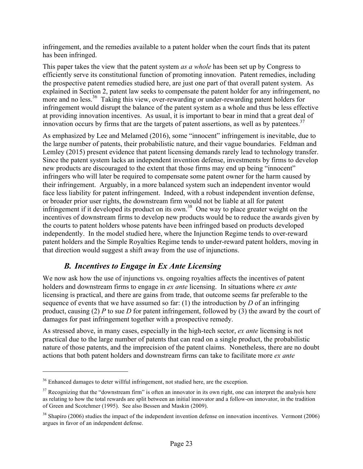infringement, and the remedies available to a patent holder when the court finds that its patent has been infringed.

This paper takes the view that the patent system *as a whole* has been set up by Congress to efficiently serve its constitutional function of promoting innovation. Patent remedies, including the prospective patent remedies studied here, are just one part of that overall patent system. As explained in Section 2, patent law seeks to compensate the patent holder for any infringement, no more and no less.<sup>36</sup> Taking this view, over-rewarding or under-rewarding patent holders for infringement would disrupt the balance of the patent system as a whole and thus be less effective at providing innovation incentives. As usual, it is important to bear in mind that a great deal of innovation occurs by firms that are the targets of patent assertions, as well as by patentees.<sup>37</sup>

As emphasized by Lee and Melamed (2016), some "innocent" infringement is inevitable, due to the large number of patents, their probabilistic nature, and their vague boundaries. Feldman and Lemley (2015) present evidence that patent licensing demands rarely lead to technology transfer. Since the patent system lacks an independent invention defense, investments by firms to develop new products are discouraged to the extent that those firms may end up being "innocent" infringers who will later be required to compensate some patent owner for the harm caused by their infringement. Arguably, in a more balanced system such an independent inventor would face less liability for patent infringement. Indeed, with a robust independent invention defense, or broader prior user rights, the downstream firm would not be liable at all for patent infringement if it developed its product on its own.<sup>38</sup> One way to place greater weight on the incentives of downstream firms to develop new products would be to reduce the awards given by the courts to patent holders whose patents have been infringed based on products developed independently. In the model studied here, where the Injunction Regime tends to over-reward patent holders and the Simple Royalties Regime tends to under-reward patent holders, moving in that direction would suggest a shift away from the use of injunctions.

### *B. Incentives to Engage in Ex Ante Licensing*

We now ask how the use of injunctions vs. ongoing royalties affects the incentives of patent holders and downstream firms to engage in *ex ante* licensing. In situations where *ex ante* licensing is practical, and there are gains from trade, that outcome seems far preferable to the sequence of events that we have assumed so far: (1) the introduction by *D* of an infringing product, causing (2) *P* to sue *D* for patent infringement, followed by (3) the award by the court of damages for past infringement together with a prospective remedy.

As stressed above, in many cases, especially in the high-tech sector, *ex ante* licensing is not practical due to the large number of patents that can read on a single product, the probabilistic nature of those patents, and the imprecision of the patent claims. Nonetheless, there are no doubt actions that both patent holders and downstream firms can take to facilitate more *ex ante*

<sup>&</sup>lt;sup>36</sup> Enhanced damages to deter willful infringement, not studied here, are the exception.

 $37$  Recognizing that the "downstream firm" is often an innovator in its own right, one can interpret the analysis here as relating to how the total rewards are split between an initial innovator and a follow-on innovator, in the tradition of Green and Scotchmer (1995). See also Bessen and Maskin (2009).

 $38$  Shapiro (2006) studies the impact of the independent invention defense on innovation incentives. Vermont (2006) argues in favor of an independent defense.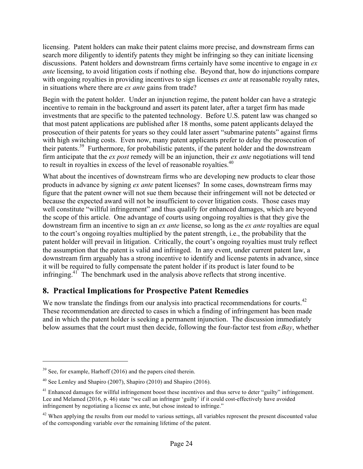licensing. Patent holders can make their patent claims more precise, and downstream firms can search more diligently to identify patents they might be infringing so they can initiate licensing discussions. Patent holders and downstream firms certainly have some incentive to engage in *ex ante* licensing, to avoid litigation costs if nothing else. Beyond that, how do injunctions compare with ongoing royalties in providing incentives to sign licenses *ex ante* at reasonable royalty rates, in situations where there are *ex ante* gains from trade?

Begin with the patent holder. Under an injunction regime, the patent holder can have a strategic incentive to remain in the background and assert its patent later, after a target firm has made investments that are specific to the patented technology. Before U.S. patent law was changed so that most patent applications are published after 18 months, some patent applicants delayed the prosecution of their patents for years so they could later assert "submarine patents" against firms with high switching costs. Even now, many patent applicants prefer to delay the prosecution of their patents. <sup>39</sup> Furthermore, for probabilistic patents, if the patent holder and the downstream firm anticipate that the *ex post* remedy will be an injunction, their *ex ante* negotiations will tend to result in royalties in excess of the level of reasonable royalties.<sup>40</sup>

What about the incentives of downstream firms who are developing new products to clear those products in advance by signing *ex ante* patent licenses? In some cases, downstream firms may figure that the patent owner will not sue them because their infringement will not be detected or because the expected award will not be insufficient to cover litigation costs. Those cases may well constitute "willful infringement" and thus qualify for enhanced damages, which are beyond the scope of this article. One advantage of courts using ongoing royalties is that they give the downstream firm an incentive to sign an *ex ante* license, so long as the *ex ante* royalties are equal to the court's ongoing royalties multiplied by the patent strength, i.e., the probability that the patent holder will prevail in litigation. Critically, the court's ongoing royalties must truly reflect the assumption that the patent is valid and infringed. In any event, under current patent law, a downstream firm arguably has a strong incentive to identify and license patents in advance, since it will be required to fully compensate the patent holder if its product is later found to be infringing.<sup>41</sup> The benchmark used in the analysis above reflects that strong incentive.

# **8. Practical Implications for Prospective Patent Remedies**

We now translate the findings from our analysis into practical recommendations for courts.<sup>42</sup> These recommendation are directed to cases in which a finding of infringement has been made and in which the patent holder is seeking a permanent injunction. The discussion immediately below assumes that the court must then decide, following the four-factor test from *eBay*, whether

 $39$  See, for example, Harhoff (2016) and the papers cited therein.

 $40$  See Lemley and Shapiro (2007), Shapiro (2010) and Shapiro (2016).

 $41$  Enhanced damages for willful infringement boost these incentives and thus serve to deter "guilty" infringement. Lee and Melamed (2016, p. 46) state "we call an infringer 'guilty' if it could cost-effectively have avoided infringement by negotiating a license ex ante, but chose instead to infringe."

 $42$  When applying the results from our model to various settings, all variables represent the present discounted value of the corresponding variable over the remaining lifetime of the patent.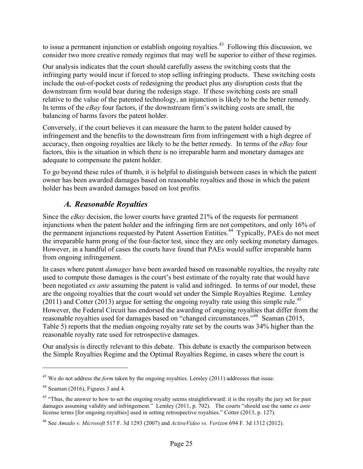to issue a permanent injunction or establish ongoing royalties.<sup>43</sup> Following this discussion, we consider two more creative remedy regimes that may well be superior to either of these regimes.

Our analysis indicates that the court should carefully assess the switching costs that the infringing party would incur if forced to stop selling infringing products. These switching costs include the out-of-pocket costs of redesigning the product plus any disruption costs that the downstream firm would bear during the redesign stage. If these switching costs are small relative to the value of the patented technology, an injunction is likely to be the better remedy. In terms of the *eBay* four factors, if the downstream firm's switching costs are small, the balancing of harms favors the patent holder.

Conversely, if the court believes it can measure the harm to the patent holder caused by infringement and the benefits to the downstream firm from infringement with a high degree of accuracy, then ongoing royalties are likely to be the better remedy. In terms of the *eBay* four factors, this is the situation in which there is no irreparable harm and monetary damages are adequate to compensate the patent holder.

To go beyond these rules of thumb, it is helpful to distinguish between cases in which the patent owner has been awarded damages based on reasonable royalties and those in which the patent holder has been awarded damages based on lost profits.

# *A. Reasonable Royalties*

Since the *eBay* decision, the lower courts have granted 21% of the requests for permanent injunctions when the patent holder and the infringing firm are not competitors, and only 16% of the permanent injunctions requested by Patent Assertion Entities.<sup>44</sup> Typically, PAEs do not meet the irreparable harm prong of the four-factor test, since they are only seeking monetary damages. However, in a handful of cases the courts have found that PAEs would suffer irreparable harm from ongoing infringement.

In cases where patent *damages* have been awarded based on reasonable royalties, the royalty rate used to compute those damages is the court's best estimate of the royalty rate that would have been negotiated *ex ante* assuming the patent is valid and infringed. In terms of our model, these are the ongoing royalties that the court would set under the Simple Royalties Regime. Lemley  $(2011)$  and Cotter  $(2013)$  argue for setting the ongoing royalty rate using this simple rule.<sup>45</sup> However, the Federal Circuit has endorsed the awarding of ongoing royalties that differ from the reasonable royalties used for damages based on "changed circumstances."46 Seaman (2015, Table 5) reports that the median ongoing royalty rate set by the courts was 34% higher than the reasonable royalty rate used for retrospective damages.

Our analysis is directly relevant to this debate. This debate is exactly the comparison between the Simple Royalties Regime and the Optimal Royalties Regime, in cases where the court is

<sup>&</sup>lt;sup>43</sup> We do not address the *form* taken by the ongoing royalties. Lemley (2011) addresses that issue.

 $44$  Seaman (2016), Figures 3 and 4.

<sup>&</sup>lt;sup>45</sup> "Thus, the answer to how to set the ongoing royalty seems straightforward: it is the royalty the jury set for past damages assuming validity and infringement." Lemley (2011, p. 702). The courts "should use the same *ex ante* license terms [for ongoing royalties] used in setting retrospective royalties." Cotter (2013, p. 127).

<sup>46</sup> See *Amado v. Microsoft* 517 F. 3d 1293 (2007) and *ActiveVideo vs. Verizon* 694 F. 3d 1312 (2012).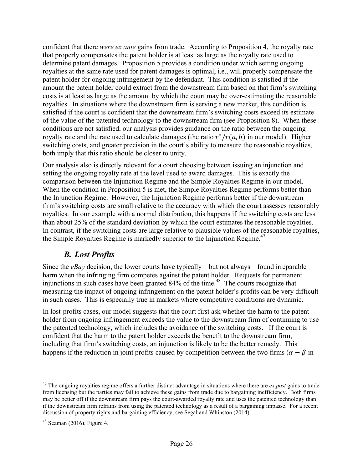confident that there *were ex ante* gains from trade. According to Proposition 4, the royalty rate that properly compensates the patent holder is at least as large as the royalty rate used to determine patent damages. Proposition 5 provides a condition under which setting ongoing royalties at the same rate used for patent damages is optimal, i.e., will properly compensate the patent holder for ongoing infringement by the defendant. This condition is satisfied if the amount the patent holder could extract from the downstream firm based on that firm's switching costs is at least as large as the amount by which the court may be over-estimating the reasonable royalties. In situations where the downstream firm is serving a new market, this condition is satisfied if the court is confident that the downstream firm's switching costs exceed its estimate of the value of the patented technology to the downstream firm (see Proposition 8). When these conditions are not satisfied, our analysis provides guidance on the ratio between the ongoing royalty rate and the rate used to calculate damages (the ratio  $r^*/r(a, b)$  in our model). Higher switching costs, and greater precision in the court's ability to measure the reasonable royalties, both imply that this ratio should be closer to unity.

Our analysis also is directly relevant for a court choosing between issuing an injunction and setting the ongoing royalty rate at the level used to award damages. This is exactly the comparison between the Injunction Regime and the Simple Royalties Regime in our model. When the condition in Proposition 5 is met, the Simple Royalties Regime performs better than the Injunction Regime. However, the Injunction Regime performs better if the downstream firm's switching costs are small relative to the accuracy with which the court assesses reasonably royalties. In our example with a normal distribution, this happens if the switching costs are less than about 25% of the standard deviation by which the court estimates the reasonable royalties. In contrast, if the switching costs are large relative to plausible values of the reasonable royalties, the Simple Royalties Regime is markedly superior to the Injunction Regime.<sup>47</sup>

### *B. Lost Profits*

Since the *eBay* decision, the lower courts have typically – but not always – found irreparable harm when the infringing firm competes against the patent holder. Requests for permanent injunctions in such cases have been granted  $84\%$  of the time.<sup>48</sup> The courts recognize that measuring the impact of ongoing infringement on the patent holder's profits can be very difficult in such cases. This is especially true in markets where competitive conditions are dynamic.

In lost-profits cases, our model suggests that the court first ask whether the harm to the patent holder from ongoing infringement exceeds the value to the downstream firm of continuing to use the patented technology, which includes the avoidance of the switching costs. If the court is confident that the harm to the patent holder exceeds the benefit to the downstream firm, including that firm's switching costs, an injunction is likely to be the better remedy. This happens if the reduction in joint profits caused by competition between the two firms ( $\alpha - \beta$  in

<sup>47</sup> The ongoing royalties regime offers a further distinct advantage in situations where there are *ex post* gains to trade from licensing but the parties may fail to achieve these gains from trade due to bargaining inefficiency. Both firms may be better off if the downstream firm pays the court-awarded royalty rate and uses the patented technology than if the downstream firm refrains from using the patented technology as a result of a bargaining impasse. For a recent discussion of property rights and bargaining efficiency, see Segal and Whinston (2014).

 $48$  Seaman (2016), Figure 4.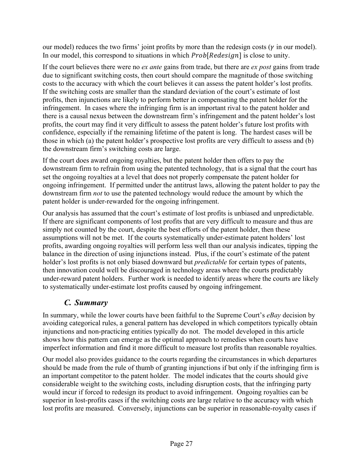our model) reduces the two firms' joint profits by more than the redesign costs ( $\gamma$  in our model). In our model, this correspond to situations in which  $Prob[Redesian]$  is close to unity.

If the court believes there were no *ex ante* gains from trade, but there are *ex post* gains from trade due to significant switching costs, then court should compare the magnitude of those switching costs to the accuracy with which the court believes it can assess the patent holder's lost profits. If the switching costs are smaller than the standard deviation of the court's estimate of lost profits, then injunctions are likely to perform better in compensating the patent holder for the infringement. In cases where the infringing firm is an important rival to the patent holder and there is a causal nexus between the downstream firm's infringement and the patent holder's lost profits, the court may find it very difficult to assess the patent holder's future lost profits with confidence, especially if the remaining lifetime of the patent is long. The hardest cases will be those in which (a) the patent holder's prospective lost profits are very difficult to assess and (b) the downstream firm's switching costs are large.

If the court does award ongoing royalties, but the patent holder then offers to pay the downstream firm to refrain from using the patented technology, that is a signal that the court has set the ongoing royalties at a level that does not properly compensate the patent holder for ongoing infringement. If permitted under the antitrust laws, allowing the patent holder to pay the downstream firm *not* to use the patented technology would reduce the amount by which the patent holder is under-rewarded for the ongoing infringement.

Our analysis has assumed that the court's estimate of lost profits is unbiased and unpredictable. If there are significant components of lost profits that are very difficult to measure and thus are simply not counted by the court, despite the best efforts of the patent holder, then these assumptions will not be met. If the courts systematically under-estimate patent holders' lost profits, awarding ongoing royalties will perform less well than our analysis indicates, tipping the balance in the direction of using injunctions instead. Plus, if the court's estimate of the patent holder's lost profits is not only biased downward but *predictable* for certain types of patents, then innovation could well be discouraged in technology areas where the courts predictably under-reward patent holders. Further work is needed to identify areas where the courts are likely to systematically under-estimate lost profits caused by ongoing infringement.

# *C. Summary*

In summary, while the lower courts have been faithful to the Supreme Court's *eBay* decision by avoiding categorical rules, a general pattern has developed in which competitors typically obtain injunctions and non-practicing entities typically do not. The model developed in this article shows how this pattern can emerge as the optimal approach to remedies when courts have imperfect information and find it more difficult to measure lost profits than reasonable royalties.

Our model also provides guidance to the courts regarding the circumstances in which departures should be made from the rule of thumb of granting injunctions if but only if the infringing firm is an important competitor to the patent holder. The model indicates that the courts should give considerable weight to the switching costs, including disruption costs, that the infringing party would incur if forced to redesign its product to avoid infringement. Ongoing royalties can be superior in lost-profits cases if the switching costs are large relative to the accuracy with which lost profits are measured. Conversely, injunctions can be superior in reasonable-royalty cases if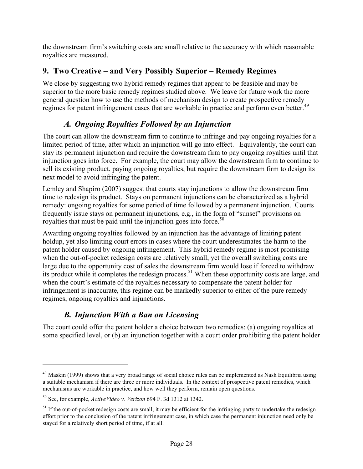the downstream firm's switching costs are small relative to the accuracy with which reasonable royalties are measured.

# **9. Two Creative – and Very Possibly Superior – Remedy Regimes**

We close by suggesting two hybrid remedy regimes that appear to be feasible and may be superior to the more basic remedy regimes studied above. We leave for future work the more general question how to use the methods of mechanism design to create prospective remedy regimes for patent infringement cases that are workable in practice and perform even better.<sup>49</sup>

# *A. Ongoing Royalties Followed by an Injunction*

The court can allow the downstream firm to continue to infringe and pay ongoing royalties for a limited period of time, after which an injunction will go into effect. Equivalently, the court can stay its permanent injunction and require the downstream firm to pay ongoing royalties until that injunction goes into force. For example, the court may allow the downstream firm to continue to sell its existing product, paying ongoing royalties, but require the downstream firm to design its next model to avoid infringing the patent.

Lemley and Shapiro (2007) suggest that courts stay injunctions to allow the downstream firm time to redesign its product. Stays on permanent injunctions can be characterized as a hybrid remedy: ongoing royalties for some period of time followed by a permanent injunction. Courts frequently issue stays on permanent injunctions, e.g., in the form of "sunset" provisions on royalties that must be paid until the injunction goes into force. $50$ 

Awarding ongoing royalties followed by an injunction has the advantage of limiting patent holdup, yet also limiting court errors in cases where the court underestimates the harm to the patent holder caused by ongoing infringement. This hybrid remedy regime is most promising when the out-of-pocket redesign costs are relatively small, yet the overall switching costs are large due to the opportunity cost of sales the downstream firm would lose if forced to withdraw its product while it completes the redesign process.<sup>51</sup> When these opportunity costs are large, and when the court's estimate of the royalties necessary to compensate the patent holder for infringement is inaccurate, this regime can be markedly superior to either of the pure remedy regimes, ongoing royalties and injunctions.

# *B. Injunction With a Ban on Licensing*

The court could offer the patent holder a choice between two remedies: (a) ongoing royalties at some specified level, or (b) an injunction together with a court order prohibiting the patent holder

 $49$  Maskin (1999) shows that a very broad range of social choice rules can be implemented as Nash Equilibria using a suitable mechanism if there are three or more individuals. In the context of prospective patent remedies, which mechanisms are workable in practice, and how well they perform, remain open questions.

<sup>50</sup> See, for example, *ActiveVideo v. Verizon* 694 F. 3d 1312 at 1342.

 $<sup>51</sup>$  If the out-of-pocket redesign costs are small, it may be efficient for the infringing party to undertake the redesign</sup> effort prior to the conclusion of the patent infringement case, in which case the permanent injunction need only be stayed for a relatively short period of time, if at all.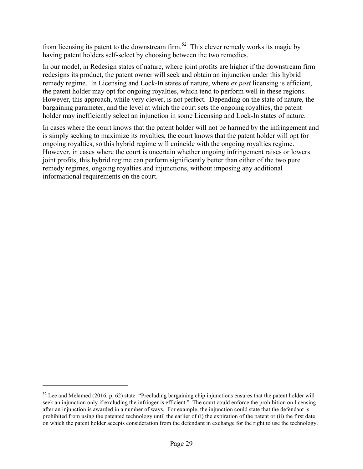from licensing its patent to the downstream firm.<sup>52</sup> This clever remedy works its magic by having patent holders self-select by choosing between the two remedies.

In our model, in Redesign states of nature, where joint profits are higher if the downstream firm redesigns its product, the patent owner will seek and obtain an injunction under this hybrid remedy regime. In Licensing and Lock-In states of nature, where *ex post* licensing is efficient, the patent holder may opt for ongoing royalties, which tend to perform well in these regions. However, this approach, while very clever, is not perfect. Depending on the state of nature, the bargaining parameter, and the level at which the court sets the ongoing royalties, the patent holder may inefficiently select an injunction in some Licensing and Lock-In states of nature.

In cases where the court knows that the patent holder will not be harmed by the infringement and is simply seeking to maximize its royalties, the court knows that the patent holder will opt for ongoing royalties, so this hybrid regime will coincide with the ongoing royalties regime. However, in cases where the court is uncertain whether ongoing infringement raises or lowers joint profits, this hybrid regime can perform significantly better than either of the two pure remedy regimes, ongoing royalties and injunctions, without imposing any additional informational requirements on the court.

 $52$  Lee and Melamed (2016, p. 62) state: "Precluding bargaining chip injunctions ensures that the patent holder will seek an injunction only if excluding the infringer is efficient." The court could enforce the prohibition on licensing after an injunction is awarded in a number of ways. For example, the injunction could state that the defendant is prohibited from using the patented technology until the earlier of  $(i)$  the expiration of the patent or  $(ii)$  the first date on which the patent holder accepts consideration from the defendant in exchange for the right to use the technology.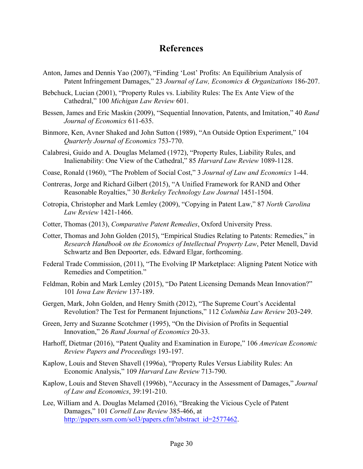# **References**

- Anton, James and Dennis Yao (2007), "Finding 'Lost' Profits: An Equilibrium Analysis of Patent Infringement Damages," 23 *Journal of Law, Economics & Organizations* 186-207.
- Bebchuck, Lucian (2001), "Property Rules vs. Liability Rules: The Ex Ante View of the Cathedral," 100 *Michigan Law Review* 601.
- Bessen, James and Eric Maskin (2009), "Sequential Innovation, Patents, and Imitation," 40 *Rand Journal of Economics* 611-635.
- Binmore, Ken, Avner Shaked and John Sutton (1989), "An Outside Option Experiment," 104 *Quarterly Journal of Economics* 753-770.
- Calabresi, Guido and A. Douglas Melamed (1972), "Property Rules, Liability Rules, and Inalienability: One View of the Cathedral," 85 *Harvard Law Review* 1089-1128.
- Coase, Ronald (1960), "The Problem of Social Cost," 3 *Journal of Law and Economics* 1-44.
- Contreras, Jorge and Richard Gilbert (2015), "A Unified Framework for RAND and Other Reasonable Royalties," 30 *Berkeley Technology Law Journal* 1451-1504.
- Cotropia, Christopher and Mark Lemley (2009), "Copying in Patent Law," 87 *North Carolina Law Review* 1421-1466.
- Cotter, Thomas (2013), *Comparative Patent Remedies*, Oxford University Press.
- Cotter, Thomas and John Golden (2015), "Empirical Studies Relating to Patents: Remedies," in *Research Handbook on the Economics of Intellectual Property Law*, Peter Menell, David Schwartz and Ben Depoorter, eds. Edward Elgar, forthcoming.
- Federal Trade Commission, (2011), "The Evolving IP Marketplace: Aligning Patent Notice with Remedies and Competition."
- Feldman, Robin and Mark Lemley (2015), "Do Patent Licensing Demands Mean Innovation?" 101 *Iowa Law Review* 137-189.
- Gergen, Mark, John Golden, and Henry Smith (2012), "The Supreme Court's Accidental Revolution? The Test for Permanent Injunctions," 112 *Columbia Law Review* 203-249.
- Green, Jerry and Suzanne Scotchmer (1995), "On the Division of Profits in Sequential Innovation," 26 *Rand Journal of Economics* 20-33.
- Harhoff, Dietmar (2016), "Patent Quality and Examination in Europe," 106 *American Economic Review Papers and Proceedings* 193-197.
- Kaplow, Louis and Steven Shavell (1996a), "Property Rules Versus Liability Rules: An Economic Analysis," 109 *Harvard Law Review* 713-790.
- Kaplow, Louis and Steven Shavell (1996b), "Accuracy in the Assessment of Damages," *Journal of Law and Economics*, 39:191-210.
- Lee, William and A. Douglas Melamed (2016), "Breaking the Vicious Cycle of Patent Damages," 101 *Cornell Law Review* 385-466, at http://papers.ssrn.com/sol3/papers.cfm?abstract\_id=2577462.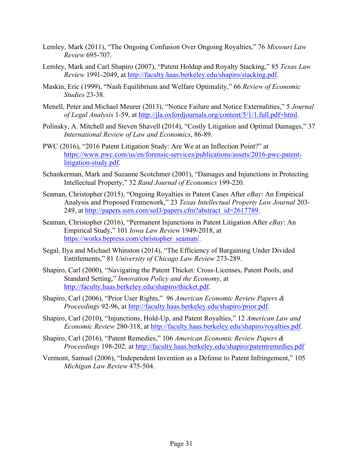- Lemley, Mark (2011), "The Ongoing Confusion Over Ongoing Royalties," 76 *Missouri Law Review* 695-707.
- Lemley, Mark and Carl Shapiro (2007), "Patent Holdup and Royalty Stacking," 85 *Texas Law Review* 1991-2049, at http://faculty.haas.berkeley.edu/shapiro/stacking.pdf.
- Maskin, Eric (1999), "Nash Equilibrium and Welfare Optimality," 66 *Review of Economic Studies* 23-38.
- Menell, Peter and Michael Meurer (2013), "Notice Failure and Notice Externalities," 5 *Journal of Legal Analysis* 1-59, at http://jla.oxfordjournals.org/content/5/1/1.full.pdf+html.
- Polinsky, A. Mitchell and Steven Shavell (2014), "Costly Litigation and Optimal Damages," 37 *International Review of Law and Economics*, 86-89.
- PWC (2016), "2016 Patent Litigation Study: Are We at an Inflection Point?" at https://www.pwc.com/us/en/forensic-services/publications/assets/2016-pwc-patentlitigation-study.pdf.
- Schankerman, Mark and Suzanne Scotchmer (2001), "Damages and Injunctions in Protecting Intellectual Property," 32 *Rand Journal of Economics* 199-220.
- Seaman, Christopher (2015), "Ongoing Royalties in Patent Cases After *eBay*: An Empirical Analysis and Proposed Framework," 23 *Texas Intellectual Property Law Journal* 203- 249, at http://papers.ssrn.com/sol3/papers.cfm?abstract\_id=2617789.
- Seaman, Christopher (2016), "Permanent Injunctions in Patent Litigation After *eBay*: An Empirical Study," 101 *Iowa Law Review* 1949-2018, at https://works.bepress.com/christopher\_seaman/.
- Segal, Ilya and Michael Whinston (2014), "The Efficiency of Bargaining Under Divided Entitlements," 81 *University of Chicago Law Review* 273-289.
- Shapiro, Carl (2000), "Navigating the Patent Thicket: Cross-Licenses, Patent Pools, and Standard Setting," *Innovation Policy and the Economy,* at http://faculty.haas.berkeley.edu/shapiro/thicket.pdf.
- Shapiro, Carl (2006), "Prior User Rights," 96 *American Economic Review Papers & Proceedings* 92-96, at http://faculty.haas.berkeley.edu/shapiro/prior.pdf.
- Shapiro, Carl (2010), "Injunctions, Hold-Up, and Patent Royalties," 12 *American Law and Economic Review* 280-318, at http://faculty.haas.berkeley.edu/shapiro/royalties.pdf.
- Shapiro, Carl (2016), "Patent Remedies," 106 *American Economic Review Papers & Proceedings* 198-202*,* at http://faculty.haas.berkeley.edu/shapiro/patentremedies.pdf
- Vermont, Samuel (2006), "Independent Invention as a Defense to Patent Infringement," 105 *Michigan Law Review* 475-504.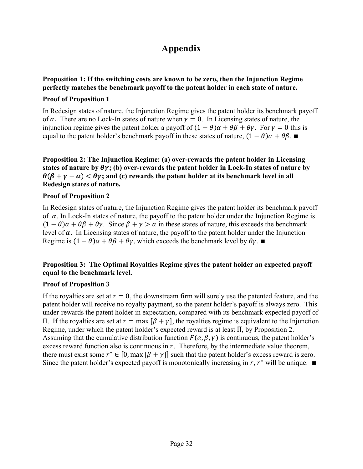# **Appendix**

### **Proposition 1: If the switching costs are known to be zero, then the Injunction Regime perfectly matches the benchmark payoff to the patent holder in each state of nature.**

#### **Proof of Proposition 1**

In Redesign states of nature, the Injunction Regime gives the patent holder its benchmark payoff of  $\alpha$ . There are no Lock-In states of nature when  $\gamma = 0$ . In Licensing states of nature, the injunction regime gives the patent holder a payoff of  $(1 - \theta)\alpha + \theta\beta + \theta\gamma$ . For  $\gamma = 0$  this is equal to the patent holder's benchmark payoff in these states of nature,  $(1 - \theta)\alpha + \theta\beta$ .

**Proposition 2: The Injunction Regime: (a) over-rewards the patent holder in Licensing states** of nature by  $\theta \gamma$ ; (b) over-rewards the patent holder in Lock-In states of nature by  $\theta(\beta + \gamma - \alpha) < \theta\gamma$ ; and (c) rewards the patent holder at its benchmark level in all **Redesign states of nature.** 

#### **Proof of Proposition 2**

In Redesign states of nature, the Injunction Regime gives the patent holder its benchmark payoff of  $\alpha$ . In Lock-In states of nature, the payoff to the patent holder under the Injunction Regime is  $(1 - \theta)\alpha + \theta\beta + \theta\gamma$ . Since  $\beta + \gamma > \alpha$  in these states of nature, this exceeds the benchmark level of  $\alpha$ . In Licensing states of nature, the payoff to the patent holder under the Injunction Regime is  $(1 - \theta)\alpha + \theta\beta + \theta\gamma$ , which exceeds the benchmark level by  $\theta\gamma$ .

### **Proposition 3: The Optimal Royalties Regime gives the patent holder an expected payoff equal to the benchmark level.**

#### **Proof of Proposition 3**

If the royalties are set at  $r = 0$ , the downstream firm will surely use the patented feature, and the patent holder will receive no royalty payment, so the patent holder's payoff is always zero. This under-rewards the patent holder in expectation, compared with its benchmark expected payoff of  $\overline{\Pi}$ . If the royalties are set at  $r = \max(\beta + \gamma)$ , the royalties regime is equivalent to the Injunction Regime, under which the patent holder's expected reward is at least  $\overline{\Pi}$ , by Proposition 2. Assuming that the cumulative distribution function  $F(\alpha, \beta, \gamma)$  is continuous, the patent holder's excess reward function also is continuous in  $r$ . Therefore, by the intermediate value theorem, there must exist some  $r^* \in [0, \max(\beta + \gamma)]$  such that the patent holder's excess reward is zero. Since the patent holder's expected payoff is monotonically increasing in r,  $r^*$  will be unique.  $\blacksquare$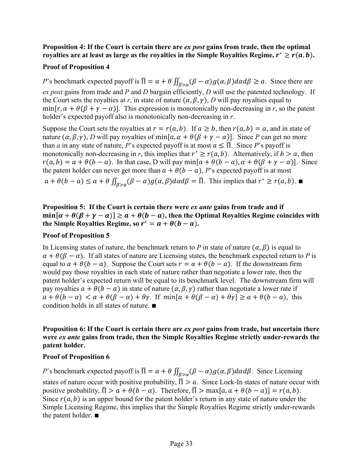### **Proposition 4: If the Court is certain there are** *ex post* **gains from trade, then the optimal royalties are at least as large as the royalties in the Simple Royalties Regime,**  $r^* \ge r(a, b)$ **.**

### **Proof of Proposition 4**

*P*'s benchmark expected payoff is  $\overline{\Pi} = a + \theta \iint_{\beta > a} (\beta - \alpha) g(\alpha, \beta) d\alpha d\beta \ge a$ . Since there are *ex post* gains from trade and *P* and *D* bargain efficiently, *D* will use the patented technology. If the Court sets the royalties at *r*, in state of nature  $(\alpha, \beta, \gamma)$ , *D* will pay royalties equal to min[ $r, \alpha + \theta(\beta + \gamma - \alpha)$ ]. This expression is monotonically non-decreasing in *r*, so the patent holder's expected payoff also is monotonically non-decreasing in *r*.

Suppose the Court sets the royalties at  $r = r(a, b)$ . If  $a \ge b$ , then  $r(a, b) = a$ , and in state of nature  $(\alpha, \beta, \gamma)$ , *D* will pay royalties of min[ $\alpha$ ,  $\alpha + \theta(\beta + \gamma - \alpha)$ ]. Since *P* can get no more than *a* in any state of nature, *P*'s expected payoff is at most  $a \leq \overline{\Pi}$ . Since *P*'s payoff is monotonically non-decreasing in *r*, this implies that  $r^* \ge r(a, b)$ . Alternatively, if  $b > a$ , then  $r(a, b) = a + \theta(b - a)$ . In that case, D will pay min $[a + \theta(b - a), \alpha + \theta(\beta + \gamma - a)]$ . Since the patent holder can never get more than  $a + \theta(b - a)$ , *P*'s expected payoff is at most  $a + \theta(b - a) \le a + \theta \iint_{\beta > a} (\beta - a) g(\alpha, \beta) d\alpha d\beta = \overline{\Pi}$ . This implies that  $r^* \ge r(a, b)$ .

**Proposition 5: If the Court is certain there were** *ex ante* **gains from trade and if**   $\min[\alpha + \theta(\beta + \gamma - \alpha)] \ge \alpha + \theta(b - \alpha)$ , then the Optimal Royalties Regime coincides with **the Simple Royalties Regime, so**  $r^* = a + \theta(b - a)$ **.** 

#### **Proof of Proposition 5**

In Licensing states of nature, the benchmark return to P in state of nature  $(\alpha, \beta)$  is equal to  $\alpha + \theta(\beta - \alpha)$ . If all states of nature are Licensing states, the benchmark expected return to *P* is equal to  $a + \theta(b - a)$ . Suppose the Court sets  $r = a + \theta(b - a)$ . If the downstream firm would pay those royalties in each state of nature rather than negotiate a lower rate, then the patent holder's expected return will be equal to its benchmark level. The downstream firm will pay royalties  $a + \theta(b - a)$  in state of nature  $(\alpha, \beta, \gamma)$  rather than negotiate a lower rate if  $a + \theta(b - a) < \alpha + \theta(\beta - a) + \theta\gamma$ . If  $min[\alpha + \theta(\beta - a) + \theta\gamma] \ge a + \theta(b - a)$ , this condition holds in all states of nature. ∎

#### **Proposition 6: If the Court is certain there are** *ex post* **gains from trade, but uncertain there were** *ex ante* **gains from trade, then the Simple Royalties Regime strictly under-rewards the patent holder.**

#### **Proof of Proposition 6**

*P*'s benchmark expected payoff is  $\overline{\Pi} = \alpha + \theta \iint_{\beta > \alpha} (\beta - \alpha) g(\alpha, \beta) d\alpha d\beta$ . Since Licensing states of nature occur with positive probability,  $\overline{\Pi} > a$ . Since Lock-In states of nature occur with positive probability,  $\overline{\Pi} > a + \theta(b - a)$ . Therefore,  $\overline{\Pi} > \max[a, a + \theta(b - a)] = r(a, b)$ . Since  $r(a, b)$  is an upper bound for the patent holder's return in any state of nature under the Simple Licensing Regime, this implies that the Simple Royalties Regime strictly under-rewards the patent holder. ∎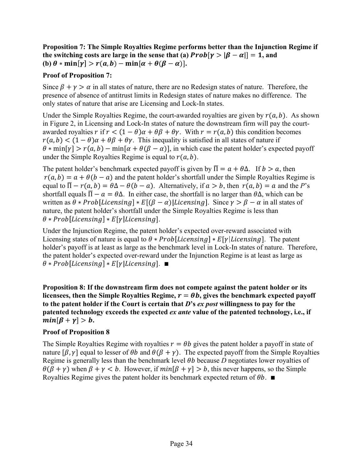**Proposition 7: The Simple Royalties Regime performs better than the Injunction Regime if the switching costs are large in the sense that (a)**  $Prob[\gamma > |\beta - \alpha|] = 1$ **, and (b)**  $\theta * min[\gamma] > r(a, b) - min[\alpha + \theta(\beta - \alpha)].$ 

#### **Proof of Proposition 7:**

Since  $\beta + \gamma > \alpha$  in all states of nature, there are no Redesign states of nature. Therefore, the presence of absence of antitrust limits in Redesign states of nature makes no difference. The only states of nature that arise are Licensing and Lock-In states.

Under the Simple Royalties Regime, the court-awarded royalties are given by  $r(a, b)$ . As shown in Figure 2, in Licensing and Lock-In states of nature the downstream firm will pay the courtawarded royalties  $r$  if  $r < (1 - \theta)\alpha + \theta\beta + \theta\gamma$ . With  $r = r(a, b)$  this condition becomes  $r(a, b) < (1 - \theta)\alpha + \theta\beta + \theta\gamma$ . This inequality is satisfied in all states of nature if  $\theta * min[\gamma] > r(a, b) - min[\alpha + \theta(\beta - \alpha)]$ , in which case the patent holder's expected payoff under the Simple Royalties Regime is equal to  $r(a, b)$ .

The patent holder's benchmark expected payoff is given by  $\overline{\Pi} = a + \theta \Delta$ . If  $b > a$ , then  $r(a, b) = a + \theta(b - a)$  and the patent holder's shortfall under the Simple Royalties Regime is equal to  $\overline{\Pi} - r(a, b) = \theta \Delta - \theta (b - a)$ . Alternatively, if  $a > b$ , then  $r(a, b) = a$  and the *P*'s shortfall equals  $\overline{\Pi} - \alpha = \theta \Delta$ . In either case, the shortfall is no larger than  $\theta \Delta$ , which can be written as  $\theta * Prob[Licensing] * E[(\beta - \alpha)]Lieensing]$ . Since  $\gamma > \beta - \alpha$  in all states of nature, the patent holder's shortfall under the Simple Royalties Regime is less than  $\theta * Prob[Licensing] * E[\gamma[Licensing]].$ 

Under the Injunction Regime, the patent holder's expected over-reward associated with Licensing states of nature is equal to  $\theta * Prob[Licensing] * E[\gamma] Lieensing]$ . The patent holder's payoff is at least as large as the benchmark level in Lock-In states of nature. Therefore, the patent holder's expected over-reward under the Injunction Regime is at least as large as  $\theta * Prob[Licensing] * E[\gamma|Licensing]$ .

**Proposition 8: If the downstream firm does not compete against the patent holder or its**  licensees, then the Simple Royalties Regime,  $r = \theta b$ , gives the benchmark expected payoff **to the patent holder if the Court is certain that** *D***'s** *ex post* **willingness to pay for the patented technology exceeds the expected** *ex ante* **value of the patented technology, i.e., if**   $min[\beta + \gamma] > b.$ 

### **Proof of Proposition 8**

The Simple Royalties Regime with royalties  $r = \theta b$  gives the patent holder a payoff in state of nature  $[\beta, \gamma]$  equal to lesser of  $\theta b$  and  $\theta(\beta + \gamma)$ . The expected payoff from the Simple Royalties Regime is generally less than the benchmark level  $\theta b$  because  $D$  negotiates lower royalties of  $\theta(\beta + \gamma)$  when  $\beta + \gamma < b$ . However, if  $min[\beta + \gamma] > b$ , this never happens, so the Simple Royalties Regime gives the patent holder its benchmark expected return of  $\theta b$ . ■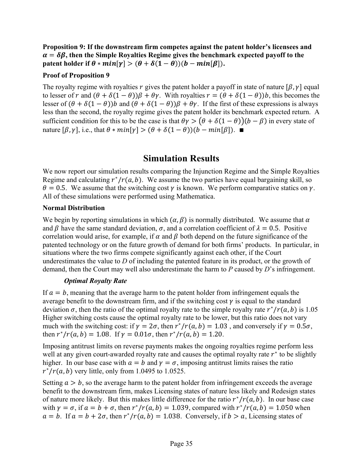**Proposition 9: If the downstream firm competes against the patent holder's licensees and**   $\alpha = \delta \beta$ , then the Simple Royalties Regime gives the benchmark expected payoff to the **patent holder if**  $\theta * min[\gamma] > (\theta + \delta(1 - \theta))(b - min[\beta]).$ 

#### **Proof of Proposition 9**

The royalty regime with royalties r gives the patent holder a payoff in state of nature  $[\beta, \gamma]$  equal to lesser of r and  $(\theta + \delta(1 - \theta))\beta + \theta\gamma$ . With royalties  $r = (\theta + \delta(1 - \theta))b$ , this becomes the lesser of  $(\theta + \delta(1 - \theta))b$  and  $(\theta + \delta(1 - \theta))\beta + \theta\gamma$ . If the first of these expressions is always less than the second, the royalty regime gives the patent holder its benchmark expected return. A sufficient condition for this to be the case is that  $\theta \gamma > (\theta + \delta(1 - \theta))(b - \beta)$  in every state of nature  $[\beta, \gamma]$ , i.e., that  $\theta * min[\gamma] > (\theta + \delta(1 - \theta))(b - min[\beta])$ .

# **Simulation Results**

We now report our simulation results comparing the Injunction Regime and the Simple Royalties Regime and calculating  $r^*/r(a, b)$ . We assume the two parties have equal bargaining skill, so  $\theta = 0.5$ . We assume that the switching cost  $\gamma$  is known. We perform comparative statics on  $\gamma$ . All of these simulations were performed using Mathematica.

#### **Normal Distribution**

We begin by reporting simulations in which  $(\alpha, \beta)$  is normally distributed. We assume that  $\alpha$ and  $\beta$  have the same standard deviation,  $\sigma$ , and a correlation coefficient of  $\lambda = 0.5$ . Positive correlation would arise, for example, if  $\alpha$  and  $\beta$  both depend on the future significance of the patented technology or on the future growth of demand for both firms' products. In particular, in situations where the two firms compete significantly against each other, if the Court underestimates the value to *D* of including the patented feature in its product, or the growth of demand, then the Court may well also underestimate the harm to *P* caused by *D*'s infringement.

#### *Optimal Royalty Rate*

If  $a = b$ , meaning that the average harm to the patent holder from infringement equals the average benefit to the downstream firm, and if the switching cost  $\gamma$  is equal to the standard deviation  $\sigma$ , then the ratio of the optimal royalty rate to the simple royalty rate  $r^*/r(a, b)$  is 1.05 Higher switching costs cause the optimal royalty rate to be lower, but this ratio does not vary much with the switching cost: if  $\gamma = 2\sigma$ , then  $r^*/r(a, b) = 1.03$ , and conversely if  $\gamma = 0.5\sigma$ , then  $r^*/r(a, b) = 1.08$ . If  $\gamma = 0.01\sigma$ , then  $r^*/r(a, b) = 1.20$ .

Imposing antitrust limits on reverse payments makes the ongoing royalties regime perform less well at any given court-awarded royalty rate and causes the optimal royalty rate  $r^*$  to be slightly higher. In our base case with  $a = b$  and  $\gamma = \sigma$ , imposing antitrust limits raises the ratio  $r^*/r(a, b)$  very little, only from 1.0495 to 1.0525.

Setting  $a > b$ , so the average harm to the patent holder from infringement exceeds the average benefit to the downstream firm, makes Licensing states of nature less likely and Redesign states of nature more likely. But this makes little difference for the ratio  $r^*/r(a, b)$ . In our base case with  $\gamma = \sigma$ , if  $a = b + \sigma$ , then  $r^*/r(a, b) = 1.039$ , compared with  $r^*/r(a, b) = 1.050$  when  $a = b$ . If  $a = b + 2\sigma$ , then  $r^*/r(a, b) = 1.038$ . Conversely, if  $b > a$ , Licensing states of